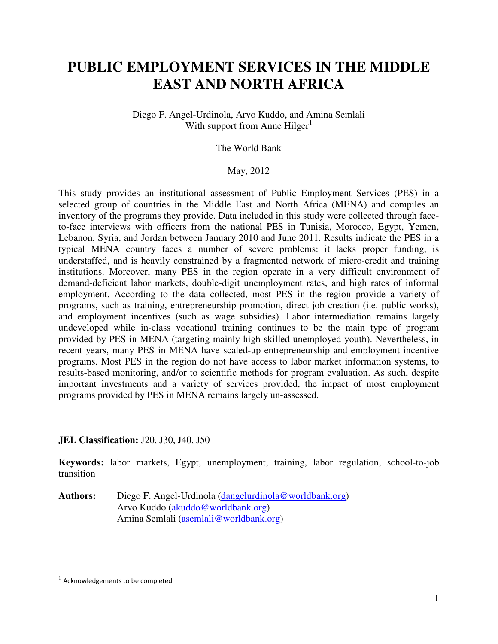# **PUBLIC EMPLOYMENT SERVICES IN THE MIDDLE EAST AND NORTH AFRICA**

Diego F. Angel-Urdinola, Arvo Kuddo, and Amina Semlali With support from Anne  $Hilger<sup>1</sup>$ 

The World Bank

#### May, 2012

This study provides an institutional assessment of Public Employment Services (PES) in a selected group of countries in the Middle East and North Africa (MENA) and compiles an inventory of the programs they provide. Data included in this study were collected through faceto-face interviews with officers from the national PES in Tunisia, Morocco, Egypt, Yemen, Lebanon, Syria, and Jordan between January 2010 and June 2011. Results indicate the PES in a typical MENA country faces a number of severe problems: it lacks proper funding, is understaffed, and is heavily constrained by a fragmented network of micro-credit and training institutions. Moreover, many PES in the region operate in a very difficult environment of demand-deficient labor markets, double-digit unemployment rates, and high rates of informal employment. According to the data collected, most PES in the region provide a variety of programs, such as training, entrepreneurship promotion, direct job creation (i.e. public works), and employment incentives (such as wage subsidies). Labor intermediation remains largely undeveloped while in-class vocational training continues to be the main type of program provided by PES in MENA (targeting mainly high-skilled unemployed youth). Nevertheless, in recent years, many PES in MENA have scaled-up entrepreneurship and employment incentive programs. Most PES in the region do not have access to labor market information systems, to results-based monitoring, and/or to scientific methods for program evaluation. As such, despite important investments and a variety of services provided, the impact of most employment programs provided by PES in MENA remains largely un-assessed.

## **JEL Classification:** J20, J30, J40, J50

**Keywords:** labor markets, Egypt, unemployment, training, labor regulation, school-to-job transition

Authors: Diego F. Angel-Urdinola (dangelurdinola@worldbank.org) Arvo Kuddo (akuddo@worldbank.org) Amina Semlali (asemlali@worldbank.org)

 $\overline{a}$ 

 $1$  Acknowledgements to be completed.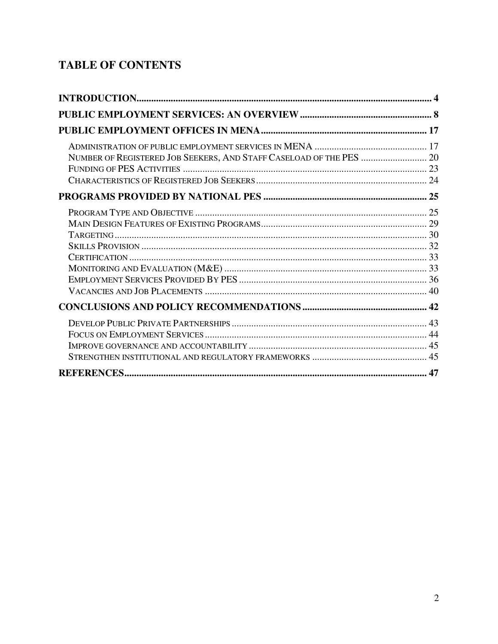# **TABLE OF CONTENTS**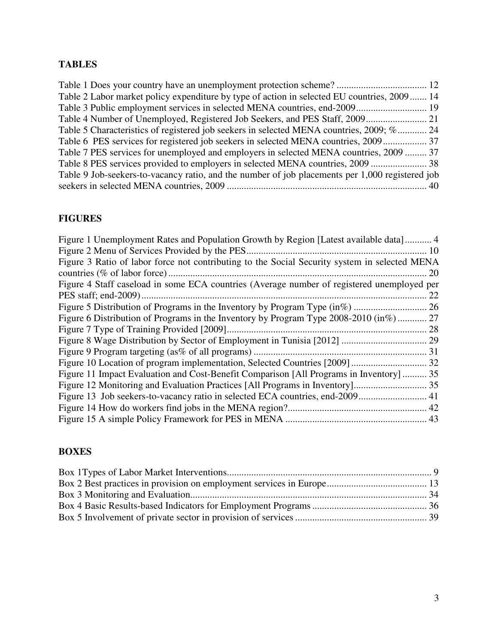# **TABLES**

| Table 2 Labor market policy expenditure by type of action in selected EU countries, 2009 14     |  |
|-------------------------------------------------------------------------------------------------|--|
|                                                                                                 |  |
|                                                                                                 |  |
| Table 5 Characteristics of registered job seekers in selected MENA countries, 2009; % 24        |  |
|                                                                                                 |  |
| Table 7 PES services for unemployed and employers in selected MENA countries, 2009  37          |  |
|                                                                                                 |  |
| Table 9 Job-seekers-to-vacancy ratio, and the number of job placements per 1,000 registered job |  |
|                                                                                                 |  |

# **FIGURES**

| Figure 1 Unemployment Rates and Population Growth by Region [Latest available data] 4         |               |
|-----------------------------------------------------------------------------------------------|---------------|
|                                                                                               |               |
| Figure 3 Ratio of labor force not contributing to the Social Security system in selected MENA |               |
|                                                                                               | <sup>20</sup> |
| Figure 4 Staff caseload in some ECA countries (Average number of registered unemployed per    |               |
|                                                                                               | 22            |
|                                                                                               |               |
| Figure 6 Distribution of Programs in the Inventory by Program Type 2008-2010 (in%) 27         |               |
|                                                                                               |               |
|                                                                                               |               |
|                                                                                               |               |
|                                                                                               |               |
| Figure 11 Impact Evaluation and Cost-Benefit Comparison [All Programs in Inventory]  35       |               |
|                                                                                               |               |
|                                                                                               |               |
|                                                                                               |               |
|                                                                                               |               |
|                                                                                               |               |

# **BOXES**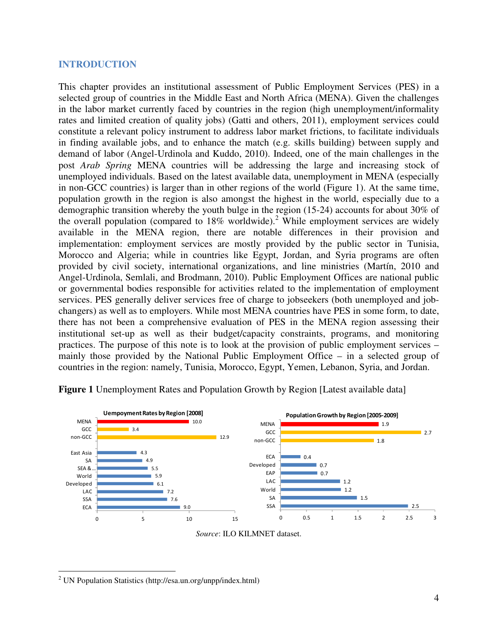#### **INTRODUCTION**

This chapter provides an institutional assessment of Public Employment Services (PES) in a selected group of countries in the Middle East and North Africa (MENA). Given the challenges in the labor market currently faced by countries in the region (high unemployment/informality rates and limited creation of quality jobs) (Gatti and others, 2011), employment services could constitute a relevant policy instrument to address labor market frictions, to facilitate individuals in finding available jobs, and to enhance the match (e.g. skills building) between supply and demand of labor (Angel-Urdinola and Kuddo, 2010). Indeed, one of the main challenges in the post *Arab Spring* MENA countries will be addressing the large and increasing stock of unemployed individuals. Based on the latest available data, unemployment in MENA (especially in non-GCC countries) is larger than in other regions of the world (Figure 1). At the same time, population growth in the region is also amongst the highest in the world, especially due to a demographic transition whereby the youth bulge in the region (15-24) accounts for about 30% of the overall population (compared to  $18\%$  worldwide).<sup>2</sup> While employment services are widely available in the MENA region, there are notable differences in their provision and implementation: employment services are mostly provided by the public sector in Tunisia, Morocco and Algeria; while in countries like Egypt, Jordan, and Syria programs are often provided by civil society, international organizations, and line ministries (Martín, 2010 and Angel-Urdinola, Semlali, and Brodmann, 2010). Public Employment Offices are national public or governmental bodies responsible for activities related to the implementation of employment services. PES generally deliver services free of charge to jobseekers (both unemployed and jobchangers) as well as to employers. While most MENA countries have PES in some form, to date, there has not been a comprehensive evaluation of PES in the MENA region assessing their institutional set-up as well as their budget/capacity constraints, programs, and monitoring practices. The purpose of this note is to look at the provision of public employment services – mainly those provided by the National Public Employment Office – in a selected group of countries in the region: namely, Tunisia, Morocco, Egypt, Yemen, Lebanon, Syria, and Jordan.



**Figure 1** Unemployment Rates and Population Growth by Region [Latest available data]

*Source*: ILO KILMNET dataset.

 $\overline{a}$ <sup>2</sup> UN Population Statistics (http://esa.un.org/unpp/index.html)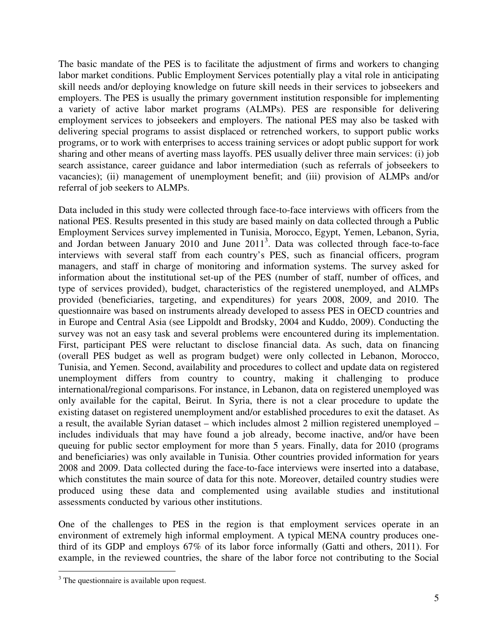The basic mandate of the PES is to facilitate the adjustment of firms and workers to changing labor market conditions. Public Employment Services potentially play a vital role in anticipating skill needs and/or deploying knowledge on future skill needs in their services to jobseekers and employers. The PES is usually the primary government institution responsible for implementing a variety of active labor market programs (ALMPs). PES are responsible for delivering employment services to jobseekers and employers. The national PES may also be tasked with delivering special programs to assist displaced or retrenched workers, to support public works programs, or to work with enterprises to access training services or adopt public support for work sharing and other means of averting mass layoffs. PES usually deliver three main services: (i) job search assistance, career guidance and labor intermediation (such as referrals of jobseekers to vacancies); (ii) management of unemployment benefit; and (iii) provision of ALMPs and/or referral of job seekers to ALMPs.

Data included in this study were collected through face-to-face interviews with officers from the national PES. Results presented in this study are based mainly on data collected through a Public Employment Services survey implemented in Tunisia, Morocco, Egypt, Yemen, Lebanon, Syria, and Jordan between January 2010 and June 2011<sup>3</sup>. Data was collected through face-to-face interviews with several staff from each country's PES, such as financial officers, program managers, and staff in charge of monitoring and information systems. The survey asked for information about the institutional set-up of the PES (number of staff, number of offices, and type of services provided), budget, characteristics of the registered unemployed, and ALMPs provided (beneficiaries, targeting, and expenditures) for years 2008, 2009, and 2010. The questionnaire was based on instruments already developed to assess PES in OECD countries and in Europe and Central Asia (see Lippoldt and Brodsky, 2004 and Kuddo, 2009). Conducting the survey was not an easy task and several problems were encountered during its implementation. First, participant PES were reluctant to disclose financial data. As such, data on financing (overall PES budget as well as program budget) were only collected in Lebanon, Morocco, Tunisia, and Yemen. Second, availability and procedures to collect and update data on registered unemployment differs from country to country, making it challenging to produce international/regional comparisons. For instance, in Lebanon, data on registered unemployed was only available for the capital, Beirut. In Syria, there is not a clear procedure to update the existing dataset on registered unemployment and/or established procedures to exit the dataset. As a result, the available Syrian dataset – which includes almost 2 million registered unemployed – includes individuals that may have found a job already, become inactive, and/or have been queuing for public sector employment for more than 5 years. Finally, data for 2010 (programs and beneficiaries) was only available in Tunisia. Other countries provided information for years 2008 and 2009. Data collected during the face-to-face interviews were inserted into a database, which constitutes the main source of data for this note. Moreover, detailed country studies were produced using these data and complemented using available studies and institutional assessments conducted by various other institutions.

One of the challenges to PES in the region is that employment services operate in an environment of extremely high informal employment. A typical MENA country produces onethird of its GDP and employs 67% of its labor force informally (Gatti and others, 2011). For example, in the reviewed countries, the share of the labor force not contributing to the Social

 $\overline{a}$ 

<sup>&</sup>lt;sup>3</sup> The questionnaire is available upon request.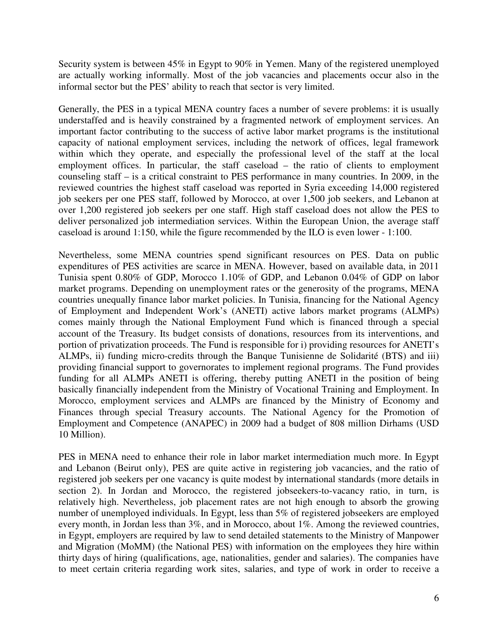Security system is between 45% in Egypt to 90% in Yemen. Many of the registered unemployed are actually working informally. Most of the job vacancies and placements occur also in the informal sector but the PES' ability to reach that sector is very limited.

Generally, the PES in a typical MENA country faces a number of severe problems: it is usually understaffed and is heavily constrained by a fragmented network of employment services. An important factor contributing to the success of active labor market programs is the institutional capacity of national employment services, including the network of offices, legal framework within which they operate, and especially the professional level of the staff at the local employment offices. In particular, the staff caseload – the ratio of clients to employment counseling staff – is a critical constraint to PES performance in many countries. In 2009, in the reviewed countries the highest staff caseload was reported in Syria exceeding 14,000 registered job seekers per one PES staff, followed by Morocco, at over 1,500 job seekers, and Lebanon at over 1,200 registered job seekers per one staff. High staff caseload does not allow the PES to deliver personalized job intermediation services. Within the European Union, the average staff caseload is around 1:150, while the figure recommended by the ILO is even lower - 1:100.

Nevertheless, some MENA countries spend significant resources on PES. Data on public expenditures of PES activities are scarce in MENA. However, based on available data, in 2011 Tunisia spent 0.80% of GDP, Morocco 1.10% of GDP, and Lebanon 0.04% of GDP on labor market programs. Depending on unemployment rates or the generosity of the programs, MENA countries unequally finance labor market policies. In Tunisia, financing for the National Agency of Employment and Independent Work's (ANETI) active labors market programs (ALMPs) comes mainly through the National Employment Fund which is financed through a special account of the Treasury. Its budget consists of donations, resources from its interventions, and portion of privatization proceeds. The Fund is responsible for i) providing resources for ANETI's ALMPs, ii) funding micro-credits through the Banque Tunisienne de Solidarité (BTS) and iii) providing financial support to governorates to implement regional programs. The Fund provides funding for all ALMPs ANETI is offering, thereby putting ANETI in the position of being basically financially independent from the Ministry of Vocational Training and Employment. In Morocco, employment services and ALMPs are financed by the Ministry of Economy and Finances through special Treasury accounts. The National Agency for the Promotion of Employment and Competence (ANAPEC) in 2009 had a budget of 808 million Dirhams (USD 10 Million).

PES in MENA need to enhance their role in labor market intermediation much more. In Egypt and Lebanon (Beirut only), PES are quite active in registering job vacancies, and the ratio of registered job seekers per one vacancy is quite modest by international standards (more details in section 2). In Jordan and Morocco, the registered jobseekers-to-vacancy ratio, in turn, is relatively high. Nevertheless, job placement rates are not high enough to absorb the growing number of unemployed individuals. In Egypt, less than 5% of registered jobseekers are employed every month, in Jordan less than 3%, and in Morocco, about 1%. Among the reviewed countries, in Egypt, employers are required by law to send detailed statements to the Ministry of Manpower and Migration (MoMM) (the National PES) with information on the employees they hire within thirty days of hiring (qualifications, age, nationalities, gender and salaries). The companies have to meet certain criteria regarding work sites, salaries, and type of work in order to receive a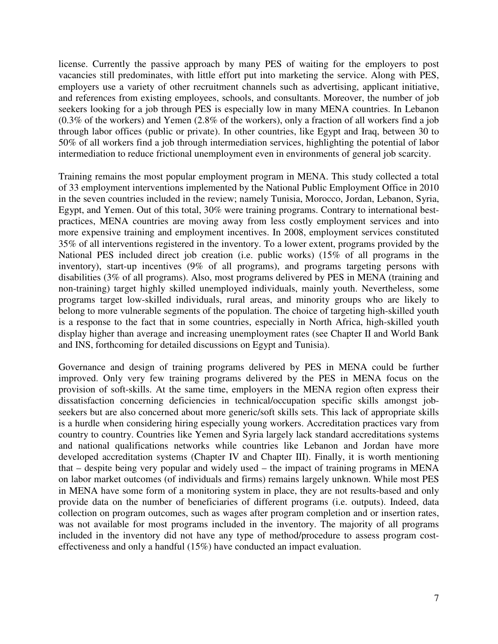license. Currently the passive approach by many PES of waiting for the employers to post vacancies still predominates, with little effort put into marketing the service. Along with PES, employers use a variety of other recruitment channels such as advertising, applicant initiative, and references from existing employees, schools, and consultants. Moreover, the number of job seekers looking for a job through PES is especially low in many MENA countries. In Lebanon (0.3% of the workers) and Yemen (2.8% of the workers), only a fraction of all workers find a job through labor offices (public or private). In other countries, like Egypt and Iraq, between 30 to 50% of all workers find a job through intermediation services, highlighting the potential of labor intermediation to reduce frictional unemployment even in environments of general job scarcity.

Training remains the most popular employment program in MENA. This study collected a total of 33 employment interventions implemented by the National Public Employment Office in 2010 in the seven countries included in the review; namely Tunisia, Morocco, Jordan, Lebanon, Syria, Egypt, and Yemen. Out of this total, 30% were training programs. Contrary to international bestpractices, MENA countries are moving away from less costly employment services and into more expensive training and employment incentives. In 2008, employment services constituted 35% of all interventions registered in the inventory. To a lower extent, programs provided by the National PES included direct job creation (i.e. public works) (15% of all programs in the inventory), start-up incentives (9% of all programs), and programs targeting persons with disabilities (3% of all programs). Also, most programs delivered by PES in MENA (training and non-training) target highly skilled unemployed individuals, mainly youth. Nevertheless, some programs target low-skilled individuals, rural areas, and minority groups who are likely to belong to more vulnerable segments of the population. The choice of targeting high-skilled youth is a response to the fact that in some countries, especially in North Africa, high-skilled youth display higher than average and increasing unemployment rates (see Chapter II and World Bank and INS, forthcoming for detailed discussions on Egypt and Tunisia).

Governance and design of training programs delivered by PES in MENA could be further improved. Only very few training programs delivered by the PES in MENA focus on the provision of soft-skills. At the same time, employers in the MENA region often express their dissatisfaction concerning deficiencies in technical/occupation specific skills amongst jobseekers but are also concerned about more generic/soft skills sets. This lack of appropriate skills is a hurdle when considering hiring especially young workers. Accreditation practices vary from country to country. Countries like Yemen and Syria largely lack standard accreditations systems and national qualifications networks while countries like Lebanon and Jordan have more developed accreditation systems (Chapter IV and Chapter III). Finally, it is worth mentioning that – despite being very popular and widely used – the impact of training programs in MENA on labor market outcomes (of individuals and firms) remains largely unknown. While most PES in MENA have some form of a monitoring system in place, they are not results-based and only provide data on the number of beneficiaries of different programs (i.e. outputs). Indeed, data collection on program outcomes, such as wages after program completion and or insertion rates, was not available for most programs included in the inventory. The majority of all programs included in the inventory did not have any type of method/procedure to assess program costeffectiveness and only a handful (15%) have conducted an impact evaluation.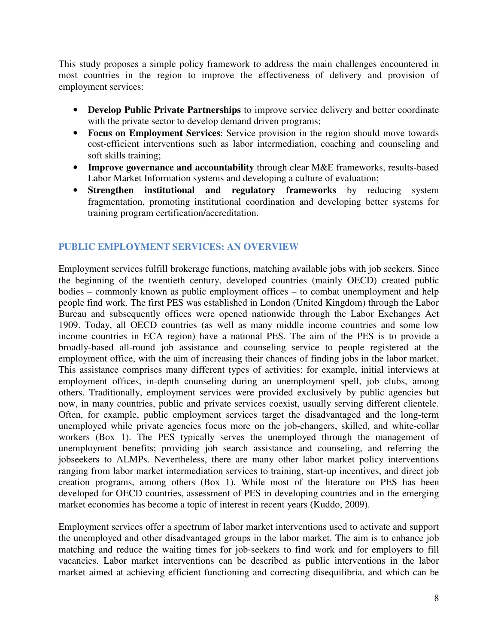This study proposes a simple policy framework to address the main challenges encountered in most countries in the region to improve the effectiveness of delivery and provision of employment services:

- **Develop Public Private Partnerships** to improve service delivery and better coordinate with the private sector to develop demand driven programs;
- **Focus on Employment Services**: Service provision in the region should move towards cost-efficient interventions such as labor intermediation, coaching and counseling and soft skills training;
- **Improve governance and accountability** through clear M&E frameworks, results-based Labor Market Information systems and developing a culture of evaluation;
- **Strengthen institutional and regulatory frameworks** by reducing system fragmentation, promoting institutional coordination and developing better systems for training program certification/accreditation.

# **PUBLIC EMPLOYMENT SERVICES: AN OVERVIEW**

Employment services fulfill brokerage functions, matching available jobs with job seekers. Since the beginning of the twentieth century, developed countries (mainly OECD) created public bodies – commonly known as public employment offices – to combat unemployment and help people find work. The first PES was established in London (United Kingdom) through the Labor Bureau and subsequently offices were opened nationwide through the Labor Exchanges Act 1909. Today, all OECD countries (as well as many middle income countries and some low income countries in ECA region) have a national PES. The aim of the PES is to provide a broadly-based all-round job assistance and counseling service to people registered at the employment office, with the aim of increasing their chances of finding jobs in the labor market. This assistance comprises many different types of activities: for example, initial interviews at employment offices, in-depth counseling during an unemployment spell, job clubs, among others. Traditionally, employment services were provided exclusively by public agencies but now, in many countries, public and private services coexist, usually serving different clientele. Often, for example, public employment services target the disadvantaged and the long-term unemployed while private agencies focus more on the job-changers, skilled, and white-collar workers (Box 1). The PES typically serves the unemployed through the management of unemployment benefits; providing job search assistance and counseling, and referring the jobseekers to ALMPs. Nevertheless, there are many other labor market policy interventions ranging from labor market intermediation services to training, start-up incentives, and direct job creation programs, among others (Box 1). While most of the literature on PES has been developed for OECD countries, assessment of PES in developing countries and in the emerging market economies has become a topic of interest in recent years (Kuddo, 2009).

Employment services offer a spectrum of labor market interventions used to activate and support the unemployed and other disadvantaged groups in the labor market. The aim is to enhance job matching and reduce the waiting times for job-seekers to find work and for employers to fill vacancies. Labor market interventions can be described as public interventions in the labor market aimed at achieving efficient functioning and correcting disequilibria, and which can be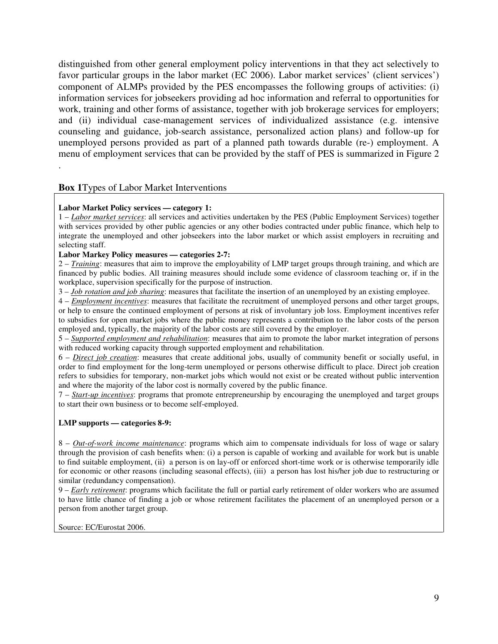distinguished from other general employment policy interventions in that they act selectively to favor particular groups in the labor market (EC 2006). Labor market services' (client services') component of ALMPs provided by the PES encompasses the following groups of activities: (i) information services for jobseekers providing ad hoc information and referral to opportunities for work, training and other forms of assistance, together with job brokerage services for employers; and (ii) individual case-management services of individualized assistance (e.g. intensive counseling and guidance, job-search assistance, personalized action plans) and follow-up for unemployed persons provided as part of a planned path towards durable (re-) employment. A menu of employment services that can be provided by the staff of PES is summarized in Figure 2 .

#### **Box 1**Types of Labor Market Interventions

#### **Labor Market Policy services — category 1:**

1 – *Labor market services*: all services and activities undertaken by the PES (Public Employment Services) together with services provided by other public agencies or any other bodies contracted under public finance, which help to integrate the unemployed and other jobseekers into the labor market or which assist employers in recruiting and selecting staff.

#### **Labor Markey Policy measures — categories 2-7:**

2 – *Training*: measures that aim to improve the employability of LMP target groups through training, and which are financed by public bodies. All training measures should include some evidence of classroom teaching or, if in the workplace, supervision specifically for the purpose of instruction.

3 – *Job rotation and job sharing*: measures that facilitate the insertion of an unemployed by an existing employee.

4 – *Employment incentives*: measures that facilitate the recruitment of unemployed persons and other target groups, or help to ensure the continued employment of persons at risk of involuntary job loss. Employment incentives refer to subsidies for open market jobs where the public money represents a contribution to the labor costs of the person employed and, typically, the majority of the labor costs are still covered by the employer.

5 – *Supported employment and rehabilitation*: measures that aim to promote the labor market integration of persons with reduced working capacity through supported employment and rehabilitation.

6 – *Direct job creation*: measures that create additional jobs, usually of community benefit or socially useful, in order to find employment for the long-term unemployed or persons otherwise difficult to place. Direct job creation refers to subsidies for temporary, non-market jobs which would not exist or be created without public intervention and where the majority of the labor cost is normally covered by the public finance.

7 – *Start-up incentives*: programs that promote entrepreneurship by encouraging the unemployed and target groups to start their own business or to become self-employed.

#### **LMP supports — categories 8-9:**

8 – *Out-of-work income maintenance*: programs which aim to compensate individuals for loss of wage or salary through the provision of cash benefits when: (i) a person is capable of working and available for work but is unable to find suitable employment, (ii) a person is on lay-off or enforced short-time work or is otherwise temporarily idle for economic or other reasons (including seasonal effects), (iii) a person has lost his/her job due to restructuring or similar (redundancy compensation).

9 – *Early retirement*: programs which facilitate the full or partial early retirement of older workers who are assumed to have little chance of finding a job or whose retirement facilitates the placement of an unemployed person or a person from another target group.

Source: EC/Eurostat 2006.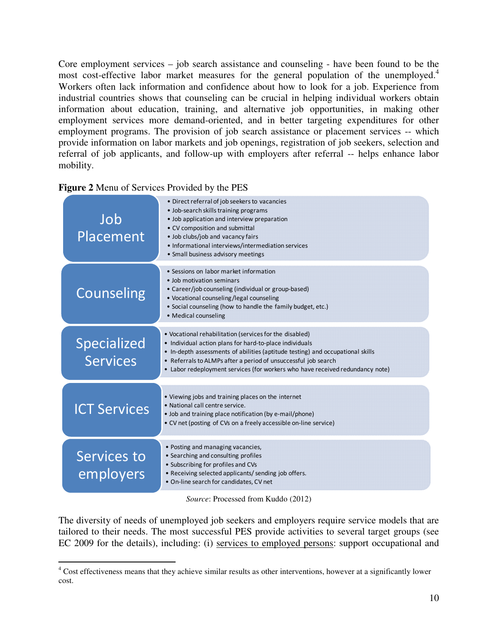Core employment services – job search assistance and counseling - have been found to be the most cost-effective labor market measures for the general population of the unemployed.<sup>4</sup> Workers often lack information and confidence about how to look for a job. Experience from industrial countries shows that counseling can be crucial in helping individual workers obtain information about education, training, and alternative job opportunities, in making other employment services more demand-oriented, and in better targeting expenditures for other employment programs. The provision of job search assistance or placement services -- which provide information on labor markets and job openings, registration of job seekers, selection and referral of job applicants, and follow-up with employers after referral -- helps enhance labor mobility.

| Figure 2 Menu of Services Provided by the PES |  |  |
|-----------------------------------------------|--|--|
|                                               |  |  |

| Job<br>Placement                      | • Direct referral of job seekers to vacancies<br>• Job-search skills training programs<br>• Job application and interview preparation<br>• CV composition and submittal<br>. Job clubs/job and vacancy fairs<br>• Informational interviews/intermediation services<br>• Small business advisory meetings                                                |
|---------------------------------------|---------------------------------------------------------------------------------------------------------------------------------------------------------------------------------------------------------------------------------------------------------------------------------------------------------------------------------------------------------|
| <b>Counseling</b>                     | • Sessions on labor market information<br>. Job motivation seminars<br>• Career/job counseling (individual or group-based)<br>• Vocational counseling/legal counseling<br>• Social counseling (how to handle the family budget, etc.)<br>• Medical counseling                                                                                           |
| <b>Specialized</b><br><b>Services</b> | • Vocational rehabilitation (services for the disabled)<br>• Individual action plans for hard-to-place individuals<br>• In-depth assessments of abilities (aptitude testing) and occupational skills<br>• Referrals to ALMPs after a period of unsuccessful job search<br>• Labor redeployment services (for workers who have received redundancy note) |
| <b>ICT Services</b>                   | • Viewing jobs and training places on the internet<br>• National call centre service.<br>· Job and training place notification (by e-mail/phone)<br>• CV net (posting of CVs on a freely accessible on-line service)                                                                                                                                    |
| Services to<br>employers              | • Posting and managing vacancies,<br>• Searching and consulting profiles<br>• Subscribing for profiles and CVs<br>• Receiving selected applicants/ sending job offers.<br>• On-line search for candidates, CV net                                                                                                                                       |

*Source*: Processed from Kuddo (2012)

The diversity of needs of unemployed job seekers and employers require service models that are tailored to their needs. The most successful PES provide activities to several target groups (see EC 2009 for the details), including: (i) services to employed persons: support occupational and

 4 Cost effectiveness means that they achieve similar results as other interventions, however at a significantly lower cost.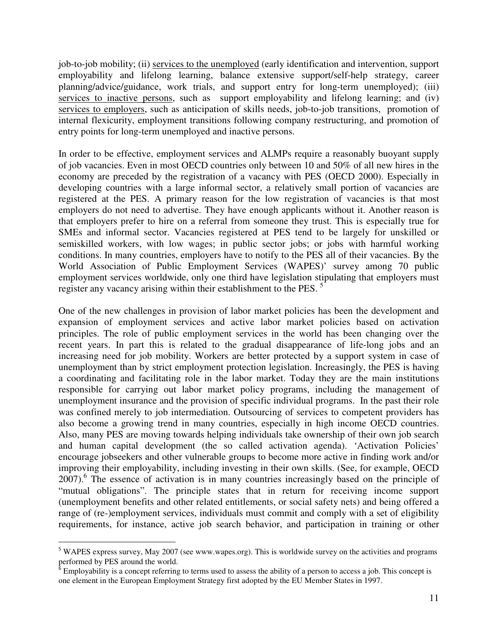job-to-job mobility; (ii) services to the unemployed (early identification and intervention, support employability and lifelong learning, balance extensive support/self-help strategy, career planning/advice/guidance, work trials, and support entry for long-term unemployed); (iii) services to inactive persons, such as support employability and lifelong learning; and (iv) services to employers, such as anticipation of skills needs, job-to-job transitions, promotion of internal flexicurity, employment transitions following company restructuring, and promotion of entry points for long-term unemployed and inactive persons.

In order to be effective, employment services and ALMPs require a reasonably buoyant supply of job vacancies. Even in most OECD countries only between 10 and 50% of all new hires in the economy are preceded by the registration of a vacancy with PES (OECD 2000). Especially in developing countries with a large informal sector, a relatively small portion of vacancies are registered at the PES. A primary reason for the low registration of vacancies is that most employers do not need to advertise. They have enough applicants without it. Another reason is that employers prefer to hire on a referral from someone they trust. This is especially true for SMEs and informal sector. Vacancies registered at PES tend to be largely for unskilled or semiskilled workers, with low wages; in public sector jobs; or jobs with harmful working conditions. In many countries, employers have to notify to the PES all of their vacancies. By the World Association of Public Employment Services (WAPES)' survey among 70 public employment services worldwide, only one third have legislation stipulating that employers must register any vacancy arising within their establishment to the PES.<sup>5</sup>

One of the new challenges in provision of labor market policies has been the development and expansion of employment services and active labor market policies based on activation principles. The role of public employment services in the world has been changing over the recent years. In part this is related to the gradual disappearance of life-long jobs and an increasing need for job mobility. Workers are better protected by a support system in case of unemployment than by strict employment protection legislation. Increasingly, the PES is having a coordinating and facilitating role in the labor market. Today they are the main institutions responsible for carrying out labor market policy programs, including the management of unemployment insurance and the provision of specific individual programs. In the past their role was confined merely to job intermediation. Outsourcing of services to competent providers has also become a growing trend in many countries, especially in high income OECD countries. Also, many PES are moving towards helping individuals take ownership of their own job search and human capital development (the so called activation agenda). 'Activation Policies' encourage jobseekers and other vulnerable groups to become more active in finding work and/or improving their employability, including investing in their own skills. (See, for example, OECD 2007).<sup>6</sup> The essence of activation is in many countries increasingly based on the principle of "mutual obligations". The principle states that in return for receiving income support (unemployment benefits and other related entitlements, or social safety nets) and being offered a range of (re-)employment services, individuals must commit and comply with a set of eligibility requirements, for instance, active job search behavior, and participation in training or other

 $\overline{a}$ 

<sup>&</sup>lt;sup>5</sup> WAPES express survey, May 2007 (see www.wapes.org). This is worldwide survey on the activities and programs

performed by PES around the world.<br><sup>6</sup> Employability is a concept referring to terms used to assess the ability of a person to access a job. This concept is one element in the European Employment Strategy first adopted by the EU Member States in 1997.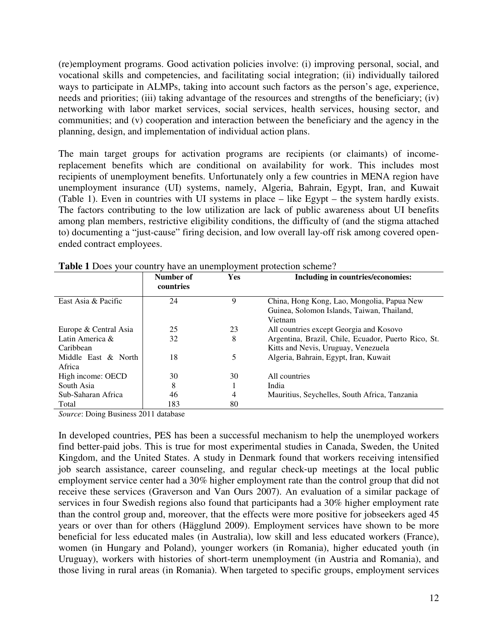(re)employment programs. Good activation policies involve: (i) improving personal, social, and vocational skills and competencies, and facilitating social integration; (ii) individually tailored ways to participate in ALMPs, taking into account such factors as the person's age, experience, needs and priorities; (iii) taking advantage of the resources and strengths of the beneficiary; (iv) networking with labor market services, social services, health services, housing sector, and communities; and (v) cooperation and interaction between the beneficiary and the agency in the planning, design, and implementation of individual action plans.

The main target groups for activation programs are recipients (or claimants) of incomereplacement benefits which are conditional on availability for work. This includes most recipients of unemployment benefits. Unfortunately only a few countries in MENA region have unemployment insurance (UI) systems, namely, Algeria, Bahrain, Egypt, Iran, and Kuwait (Table 1). Even in countries with UI systems in place – like Egypt – the system hardly exists. The factors contributing to the low utilization are lack of public awareness about UI benefits among plan members, restrictive eligibility conditions, the difficulty of (and the stigma attached to) documenting a "just-cause" firing decision, and low overall lay-off risk among covered openended contract employees.

|                       | Number of<br>countries | <b>Yes</b> | Including in countries/economies:                   |
|-----------------------|------------------------|------------|-----------------------------------------------------|
| East Asia & Pacific   | 24                     | 9          | China, Hong Kong, Lao, Mongolia, Papua New          |
|                       |                        |            | Guinea, Solomon Islands, Taiwan, Thailand,          |
|                       |                        |            | Vietnam                                             |
| Europe & Central Asia | 25                     | 23         | All countries except Georgia and Kosovo             |
| Latin America &       | 32                     | 8          | Argentina, Brazil, Chile, Ecuador, Puerto Rico, St. |
| Caribbean             |                        |            | Kitts and Nevis, Uruguay, Venezuela                 |
| Middle East & North   | 18                     | 5          | Algeria, Bahrain, Egypt, Iran, Kuwait               |
| Africa                |                        |            |                                                     |
| High income: OECD     | 30                     | 30         | All countries                                       |
| South Asia            | 8                      |            | India                                               |
| Sub-Saharan Africa    | 46                     | 4          | Mauritius, Seychelles, South Africa, Tanzania       |
| Total                 | 183                    | 80         |                                                     |

**Table 1** Does your country have an unemployment protection scheme?

*Source*: Doing Business 2011 database

In developed countries, PES has been a successful mechanism to help the unemployed workers find better-paid jobs. This is true for most experimental studies in Canada, Sweden, the United Kingdom, and the United States. A study in Denmark found that workers receiving intensified job search assistance, career counseling, and regular check‐up meetings at the local public employment service center had a 30% higher employment rate than the control group that did not receive these services (Graverson and Van Ours 2007). An evaluation of a similar package of services in four Swedish regions also found that participants had a 30% higher employment rate than the control group and, moreover, that the effects were more positive for jobseekers aged 45 years or over than for others (Hägglund 2009). Employment services have shown to be more beneficial for less educated males (in Australia), low skill and less educated workers (France), women (in Hungary and Poland), younger workers (in Romania), higher educated youth (in Uruguay), workers with histories of short-term unemployment (in Austria and Romania), and those living in rural areas (in Romania). When targeted to specific groups, employment services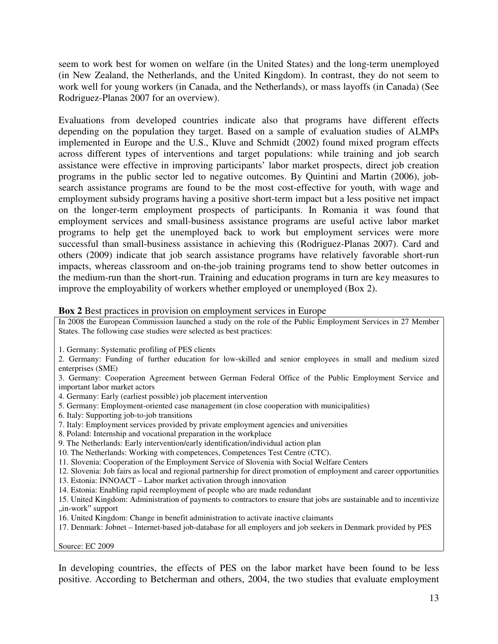seem to work best for women on welfare (in the United States) and the long-term unemployed (in New Zealand, the Netherlands, and the United Kingdom). In contrast, they do not seem to work well for young workers (in Canada, and the Netherlands), or mass layoffs (in Canada) (See Rodriguez-Planas 2007 for an overview).

Evaluations from developed countries indicate also that programs have different effects depending on the population they target. Based on a sample of evaluation studies of ALMPs implemented in Europe and the U.S., Kluve and Schmidt (2002) found mixed program effects across different types of interventions and target populations: while training and job search assistance were effective in improving participants' labor market prospects, direct job creation programs in the public sector led to negative outcomes. By Quintini and Martin (2006), jobsearch assistance programs are found to be the most cost-effective for youth, with wage and employment subsidy programs having a positive short-term impact but a less positive net impact on the longer-term employment prospects of participants. In Romania it was found that employment services and small-business assistance programs are useful active labor market programs to help get the unemployed back to work but employment services were more successful than small-business assistance in achieving this (Rodriguez-Planas 2007). Card and others (2009) indicate that job search assistance programs have relatively favorable short-run impacts, whereas classroom and on-the-job training programs tend to show better outcomes in the medium-run than the short-run. Training and education programs in turn are key measures to improve the employability of workers whether employed or unemployed (Box 2).

#### **Box 2** Best practices in provision on employment services in Europe

In 2008 the European Commission launched a study on the role of the Public Employment Services in 27 Member States. The following case studies were selected as best practices:

1. Germany: Systematic profiling of PES clients

2. Germany: Funding of further education for low-skilled and senior employees in small and medium sized enterprises (SME)

3. Germany: Cooperation Agreement between German Federal Office of the Public Employment Service and important labor market actors

4. Germany: Early (earliest possible) job placement intervention

5. Germany: Employment-oriented case management (in close cooperation with municipalities)

6. Italy: Supporting job-to-job transitions

7. Italy: Employment services provided by private employment agencies and universities

- 8. Poland: Internship and vocational preparation in the workplace
- 9. The Netherlands: Early intervention/early identification/individual action plan
- 10. The Netherlands: Working with competences, Competences Test Centre (CTC).
- 11. Slovenia: Cooperation of the Employment Service of Slovenia with Social Welfare Centers

12. Slovenia: Job fairs as local and regional partnership for direct promotion of employment and career opportunities

- 13. Estonia: INNOACT Labor market activation through innovation
- 14. Estonia: Enabling rapid reemployment of people who are made redundant

15. United Kingdom: Administration of payments to contractors to ensure that jobs are sustainable and to incentivize "in-work" support

16. United Kingdom: Change in benefit administration to activate inactive claimants

17. Denmark: Jobnet – Internet-based job-database for all employers and job seekers in Denmark provided by PES

Source: EC 2009

In developing countries, the effects of PES on the labor market have been found to be less positive. According to Betcherman and others, 2004, the two studies that evaluate employment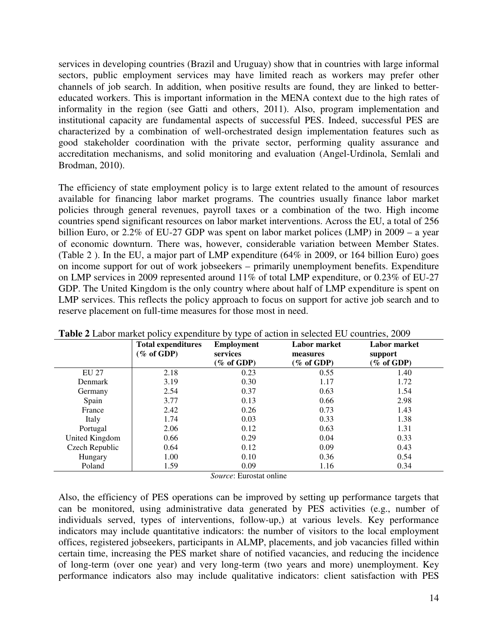services in developing countries (Brazil and Uruguay) show that in countries with large informal sectors, public employment services may have limited reach as workers may prefer other channels of job search. In addition, when positive results are found, they are linked to bettereducated workers. This is important information in the MENA context due to the high rates of informality in the region (see Gatti and others, 2011). Also, program implementation and institutional capacity are fundamental aspects of successful PES. Indeed, successful PES are characterized by a combination of well-orchestrated design implementation features such as good stakeholder coordination with the private sector, performing quality assurance and accreditation mechanisms, and solid monitoring and evaluation (Angel-Urdinola, Semlali and Brodman, 2010).

The efficiency of state employment policy is to large extent related to the amount of resources available for financing labor market programs. The countries usually finance labor market policies through general revenues, payroll taxes or a combination of the two. High income countries spend significant resources on labor market interventions. Across the EU, a total of 256 billion Euro, or 2.2% of EU-27 GDP was spent on labor market polices (LMP) in 2009 – a year of economic downturn. There was, however, considerable variation between Member States. (Table 2 ). In the EU, a major part of LMP expenditure (64% in 2009, or 164 billion Euro) goes on income support for out of work jobseekers – primarily unemployment benefits. Expenditure on LMP services in 2009 represented around 11% of total LMP expenditure, or 0.23% of EU-27 GDP. The United Kingdom is the only country where about half of LMP expenditure is spent on LMP services. This reflects the policy approach to focus on support for active job search and to reserve placement on full-time measures for those most in need.

|                | <b>Total expenditures</b><br>$(\%$ of GDP) | <b>Employment</b><br>services<br>(% of GDP) | <b>Labor market</b><br>measures<br>(% of GDP) | <b>Labor market</b><br>support<br>(% of GDP) |
|----------------|--------------------------------------------|---------------------------------------------|-----------------------------------------------|----------------------------------------------|
| EU 27          | 2.18                                       | 0.23                                        | 0.55                                          | 1.40                                         |
| Denmark        | 3.19                                       | 0.30                                        | 1.17                                          | 1.72                                         |
| Germany        | 2.54                                       | 0.37                                        | 0.63                                          | 1.54                                         |
| Spain          | 3.77                                       | 0.13                                        | 0.66                                          | 2.98                                         |
| France         | 2.42                                       | 0.26                                        | 0.73                                          | 1.43                                         |
| Italy          | 1.74                                       | 0.03                                        | 0.33                                          | 1.38                                         |
| Portugal       | 2.06                                       | 0.12                                        | 0.63                                          | 1.31                                         |
| United Kingdom | 0.66                                       | 0.29                                        | 0.04                                          | 0.33                                         |
| Czech Republic | 0.64                                       | 0.12                                        | 0.09                                          | 0.43                                         |
| Hungary        | 1.00                                       | 0.10                                        | 0.36                                          | 0.54                                         |
| Poland         | 1.59                                       | 0.09                                        | 1.16                                          | 0.34                                         |

|  |  |  | Table 2 Labor market policy expenditure by type of action in selected EU countries, 2009 |  |
|--|--|--|------------------------------------------------------------------------------------------|--|
|--|--|--|------------------------------------------------------------------------------------------|--|

*Source*: Eurostat online

Also, the efficiency of PES operations can be improved by setting up performance targets that can be monitored, using administrative data generated by PES activities (e.g., number of individuals served, types of interventions, follow-up,) at various levels. Key performance indicators may include quantitative indicators: the number of visitors to the local employment offices, registered jobseekers, participants in ALMP, placements, and job vacancies filled within certain time, increasing the PES market share of notified vacancies, and reducing the incidence of long-term (over one year) and very long-term (two years and more) unemployment. Key performance indicators also may include qualitative indicators: client satisfaction with PES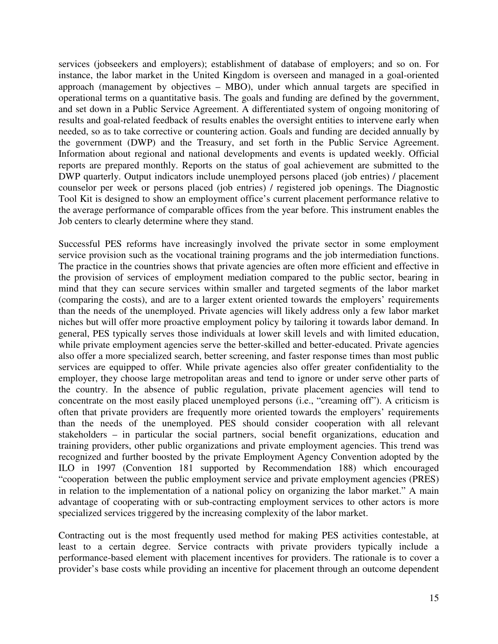services (jobseekers and employers); establishment of database of employers; and so on. For instance, the labor market in the United Kingdom is overseen and managed in a goal-oriented approach (management by objectives – MBO), under which annual targets are specified in operational terms on a quantitative basis. The goals and funding are defined by the government, and set down in a Public Service Agreement. A differentiated system of ongoing monitoring of results and goal-related feedback of results enables the oversight entities to intervene early when needed, so as to take corrective or countering action. Goals and funding are decided annually by the government (DWP) and the Treasury, and set forth in the Public Service Agreement. Information about regional and national developments and events is updated weekly. Official reports are prepared monthly. Reports on the status of goal achievement are submitted to the DWP quarterly. Output indicators include unemployed persons placed (job entries) / placement counselor per week or persons placed (job entries) / registered job openings. The Diagnostic Tool Kit is designed to show an employment office's current placement performance relative to the average performance of comparable offices from the year before. This instrument enables the Job centers to clearly determine where they stand.

Successful PES reforms have increasingly involved the private sector in some employment service provision such as the vocational training programs and the job intermediation functions. The practice in the countries shows that private agencies are often more efficient and effective in the provision of services of employment mediation compared to the public sector, bearing in mind that they can secure services within smaller and targeted segments of the labor market (comparing the costs), and are to a larger extent oriented towards the employers' requirements than the needs of the unemployed. Private agencies will likely address only a few labor market niches but will offer more proactive employment policy by tailoring it towards labor demand. In general, PES typically serves those individuals at lower skill levels and with limited education, while private employment agencies serve the better-skilled and better-educated. Private agencies also offer a more specialized search, better screening, and faster response times than most public services are equipped to offer. While private agencies also offer greater confidentiality to the employer, they choose large metropolitan areas and tend to ignore or under serve other parts of the country. In the absence of public regulation, private placement agencies will tend to concentrate on the most easily placed unemployed persons (i.e., "creaming off"). A criticism is often that private providers are frequently more oriented towards the employers' requirements than the needs of the unemployed. PES should consider cooperation with all relevant stakeholders – in particular the social partners, social benefit organizations, education and training providers, other public organizations and private employment agencies. This trend was recognized and further boosted by the private Employment Agency Convention adopted by the ILO in 1997 (Convention 181 supported by Recommendation 188) which encouraged "cooperation between the public employment service and private employment agencies (PRES) in relation to the implementation of a national policy on organizing the labor market." A main advantage of cooperating with or sub-contracting employment services to other actors is more specialized services triggered by the increasing complexity of the labor market.

Contracting out is the most frequently used method for making PES activities contestable, at least to a certain degree. Service contracts with private providers typically include a performance-based element with placement incentives for providers. The rationale is to cover a provider's base costs while providing an incentive for placement through an outcome dependent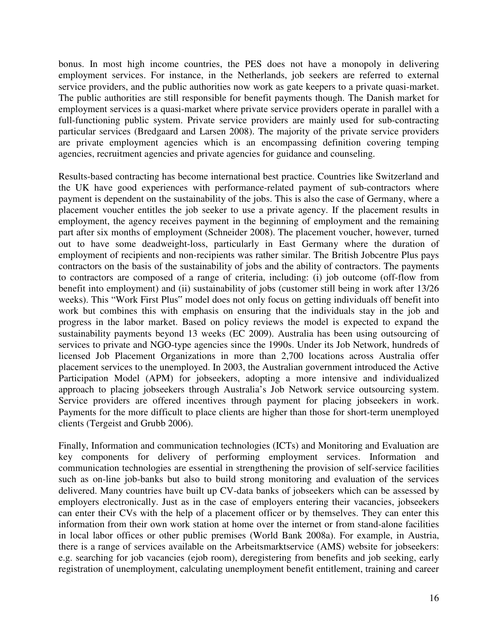bonus. In most high income countries, the PES does not have a monopoly in delivering employment services. For instance, in the Netherlands, job seekers are referred to external service providers, and the public authorities now work as gate keepers to a private quasi-market. The public authorities are still responsible for benefit payments though. The Danish market for employment services is a quasi-market where private service providers operate in parallel with a full-functioning public system. Private service providers are mainly used for sub-contracting particular services (Bredgaard and Larsen 2008). The majority of the private service providers are private employment agencies which is an encompassing definition covering temping agencies, recruitment agencies and private agencies for guidance and counseling.

Results-based contracting has become international best practice. Countries like Switzerland and the UK have good experiences with performance-related payment of sub-contractors where payment is dependent on the sustainability of the jobs. This is also the case of Germany, where a placement voucher entitles the job seeker to use a private agency. If the placement results in employment, the agency receives payment in the beginning of employment and the remaining part after six months of employment (Schneider 2008). The placement voucher, however, turned out to have some deadweight-loss, particularly in East Germany where the duration of employment of recipients and non-recipients was rather similar. The British Jobcentre Plus pays contractors on the basis of the sustainability of jobs and the ability of contractors. The payments to contractors are composed of a range of criteria, including: (i) job outcome (off-flow from benefit into employment) and (ii) sustainability of jobs (customer still being in work after 13/26 weeks). This "Work First Plus" model does not only focus on getting individuals off benefit into work but combines this with emphasis on ensuring that the individuals stay in the job and progress in the labor market. Based on policy reviews the model is expected to expand the sustainability payments beyond 13 weeks (EC 2009). Australia has been using outsourcing of services to private and NGO-type agencies since the 1990s. Under its Job Network, hundreds of licensed Job Placement Organizations in more than 2,700 locations across Australia offer placement services to the unemployed. In 2003, the Australian government introduced the Active Participation Model (APM) for jobseekers, adopting a more intensive and individualized approach to placing jobseekers through Australia's Job Network service outsourcing system. Service providers are offered incentives through payment for placing jobseekers in work. Payments for the more difficult to place clients are higher than those for short-term unemployed clients (Tergeist and Grubb 2006).

Finally, Information and communication technologies (ICTs) and Monitoring and Evaluation are key components for delivery of performing employment services. Information and communication technologies are essential in strengthening the provision of self-service facilities such as on-line job-banks but also to build strong monitoring and evaluation of the services delivered. Many countries have built up CV-data banks of jobseekers which can be assessed by employers electronically. Just as in the case of employers entering their vacancies, jobseekers can enter their CVs with the help of a placement officer or by themselves. They can enter this information from their own work station at home over the internet or from stand-alone facilities in local labor offices or other public premises (World Bank 2008a). For example, in Austria, there is a range of services available on the Arbeitsmarktservice (AMS) website for jobseekers: e.g. searching for job vacancies (ejob room), deregistering from benefits and job seeking, early registration of unemployment, calculating unemployment benefit entitlement, training and career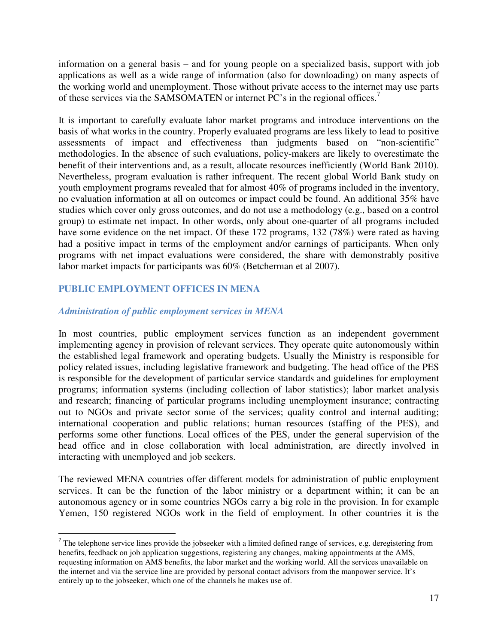information on a general basis – and for young people on a specialized basis, support with job applications as well as a wide range of information (also for downloading) on many aspects of the working world and unemployment. Those without private access to the internet may use parts of these services via the SAMSOMATEN or internet PC's in the regional offices.<sup>7</sup>

It is important to carefully evaluate labor market programs and introduce interventions on the basis of what works in the country. Properly evaluated programs are less likely to lead to positive assessments of impact and effectiveness than judgments based on "non-scientific" methodologies. In the absence of such evaluations, policy-makers are likely to overestimate the benefit of their interventions and, as a result, allocate resources inefficiently (World Bank 2010). Nevertheless, program evaluation is rather infrequent. The recent global World Bank study on youth employment programs revealed that for almost 40% of programs included in the inventory, no evaluation information at all on outcomes or impact could be found. An additional 35% have studies which cover only gross outcomes, and do not use a methodology (e.g., based on a control group) to estimate net impact. In other words, only about one-quarter of all programs included have some evidence on the net impact. Of these 172 programs, 132 (78%) were rated as having had a positive impact in terms of the employment and/or earnings of participants. When only programs with net impact evaluations were considered, the share with demonstrably positive labor market impacts for participants was 60% (Betcherman et al 2007).

# **PUBLIC EMPLOYMENT OFFICES IN MENA**

# *Administration of public employment services in MENA*

In most countries, public employment services function as an independent government implementing agency in provision of relevant services. They operate quite autonomously within the established legal framework and operating budgets. Usually the Ministry is responsible for policy related issues, including legislative framework and budgeting. The head office of the PES is responsible for the development of particular service standards and guidelines for employment programs; information systems (including collection of labor statistics); labor market analysis and research; financing of particular programs including unemployment insurance; contracting out to NGOs and private sector some of the services; quality control and internal auditing; international cooperation and public relations; human resources (staffing of the PES), and performs some other functions. Local offices of the PES, under the general supervision of the head office and in close collaboration with local administration, are directly involved in interacting with unemployed and job seekers.

The reviewed MENA countries offer different models for administration of public employment services. It can be the function of the labor ministry or a department within; it can be an autonomous agency or in some countries NGOs carry a big role in the provision. In for example Yemen, 150 registered NGOs work in the field of employment. In other countries it is the

<sup>&</sup>lt;sup>7</sup> The telephone service lines provide the jobseeker with a limited defined range of services, e.g. deregistering from benefits, feedback on job application suggestions, registering any changes, making appointments at the AMS, requesting information on AMS benefits, the labor market and the working world. All the services unavailable on the internet and via the service line are provided by personal contact advisors from the manpower service. It's entirely up to the jobseeker, which one of the channels he makes use of.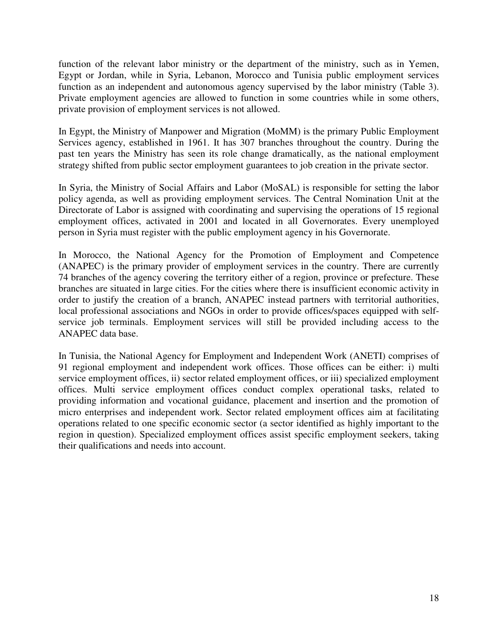function of the relevant labor ministry or the department of the ministry, such as in Yemen, Egypt or Jordan, while in Syria, Lebanon, Morocco and Tunisia public employment services function as an independent and autonomous agency supervised by the labor ministry (Table 3). Private employment agencies are allowed to function in some countries while in some others, private provision of employment services is not allowed.

In Egypt, the Ministry of Manpower and Migration (MoMM) is the primary Public Employment Services agency, established in 1961. It has 307 branches throughout the country. During the past ten years the Ministry has seen its role change dramatically, as the national employment strategy shifted from public sector employment guarantees to job creation in the private sector.

In Syria, the Ministry of Social Affairs and Labor (MoSAL) is responsible for setting the labor policy agenda, as well as providing employment services. The Central Nomination Unit at the Directorate of Labor is assigned with coordinating and supervising the operations of 15 regional employment offices, activated in 2001 and located in all Governorates. Every unemployed person in Syria must register with the public employment agency in his Governorate.

In Morocco, the National Agency for the Promotion of Employment and Competence (ANAPEC) is the primary provider of employment services in the country. There are currently 74 branches of the agency covering the territory either of a region, province or prefecture. These branches are situated in large cities. For the cities where there is insufficient economic activity in order to justify the creation of a branch, ANAPEC instead partners with territorial authorities, local professional associations and NGOs in order to provide offices/spaces equipped with selfservice job terminals. Employment services will still be provided including access to the ANAPEC data base.

In Tunisia, the National Agency for Employment and Independent Work (ANETI) comprises of 91 regional employment and independent work offices. Those offices can be either: i) multi service employment offices, ii) sector related employment offices, or iii) specialized employment offices. Multi service employment offices conduct complex operational tasks, related to providing information and vocational guidance, placement and insertion and the promotion of micro enterprises and independent work. Sector related employment offices aim at facilitating operations related to one specific economic sector (a sector identified as highly important to the region in question). Specialized employment offices assist specific employment seekers, taking their qualifications and needs into account.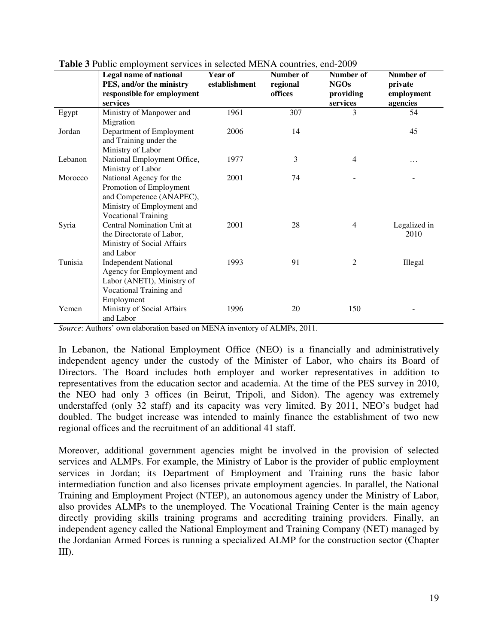|         | <b>EXAMPLE 2007</b> THE PLACE OF THE SET OF SERVICE THE 11 TO COMMENCING 2007<br>Legal name of national | Year of       | Number of | Number of      | Number of    |
|---------|---------------------------------------------------------------------------------------------------------|---------------|-----------|----------------|--------------|
|         | PES, and/or the ministry                                                                                | establishment | regional  | <b>NGOs</b>    | private      |
|         | responsible for employment                                                                              |               | offices   | providing      | employment   |
|         | services                                                                                                |               |           | services       | agencies     |
| Egypt   | Ministry of Manpower and                                                                                | 1961          | 307       | 3              | 54           |
|         | Migration                                                                                               |               |           |                |              |
| Jordan  | Department of Employment                                                                                | 2006          | 14        |                | 45           |
|         | and Training under the                                                                                  |               |           |                |              |
|         | Ministry of Labor                                                                                       |               |           |                |              |
| Lebanon | National Employment Office,                                                                             | 1977          | 3         | $\overline{4}$ |              |
|         | Ministry of Labor                                                                                       |               |           |                |              |
| Morocco | National Agency for the                                                                                 | 2001          | 74        |                |              |
|         | Promotion of Employment                                                                                 |               |           |                |              |
|         | and Competence (ANAPEC),                                                                                |               |           |                |              |
|         | Ministry of Employment and                                                                              |               |           |                |              |
|         | <b>Vocational Training</b>                                                                              |               |           |                |              |
| Syria   | Central Nomination Unit at                                                                              | 2001          | 28        | $\overline{4}$ | Legalized in |
|         | the Directorate of Labor,                                                                               |               |           |                | 2010         |
|         | Ministry of Social Affairs                                                                              |               |           |                |              |
|         | and Labor                                                                                               |               |           |                |              |
| Tunisia | <b>Independent National</b>                                                                             | 1993          | 91        | $\overline{2}$ | Illegal      |
|         | Agency for Employment and                                                                               |               |           |                |              |
|         | Labor (ANETI), Ministry of                                                                              |               |           |                |              |
|         | Vocational Training and                                                                                 |               |           |                |              |
|         | Employment                                                                                              |               |           |                |              |
| Yemen   | Ministry of Social Affairs                                                                              | 1996          | 20        | 150            |              |
|         | and Labor                                                                                               |               |           |                |              |

**Table 3** Public employment services in selected MENA countries, end-2009

*Source*: Authors' own elaboration based on MENA inventory of ALMPs, 2011.

In Lebanon, the National Employment Office (NEO) is a financially and administratively independent agency under the custody of the Minister of Labor, who chairs its Board of Directors. The Board includes both employer and worker representatives in addition to representatives from the education sector and academia. At the time of the PES survey in 2010, the NEO had only 3 offices (in Beirut, Tripoli, and Sidon). The agency was extremely understaffed (only 32 staff) and its capacity was very limited. By 2011, NEO's budget had doubled. The budget increase was intended to mainly finance the establishment of two new regional offices and the recruitment of an additional 41 staff.

Moreover, additional government agencies might be involved in the provision of selected services and ALMPs. For example, the Ministry of Labor is the provider of public employment services in Jordan; its Department of Employment and Training runs the basic labor intermediation function and also licenses private employment agencies. In parallel, the National Training and Employment Project (NTEP), an autonomous agency under the Ministry of Labor, also provides ALMPs to the unemployed. The Vocational Training Center is the main agency directly providing skills training programs and accrediting training providers. Finally, an independent agency called the National Employment and Training Company (NET) managed by the Jordanian Armed Forces is running a specialized ALMP for the construction sector (Chapter  $III$ ).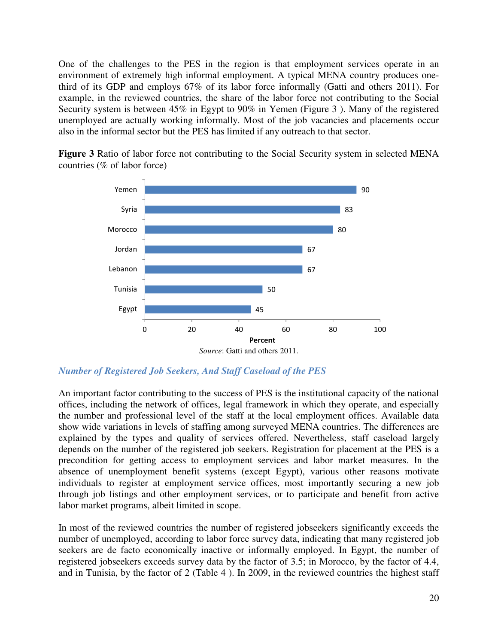One of the challenges to the PES in the region is that employment services operate in an environment of extremely high informal employment. A typical MENA country produces onethird of its GDP and employs 67% of its labor force informally (Gatti and others 2011). For example, in the reviewed countries, the share of the labor force not contributing to the Social Security system is between 45% in Egypt to 90% in Yemen (Figure 3 ). Many of the registered unemployed are actually working informally. Most of the job vacancies and placements occur also in the informal sector but the PES has limited if any outreach to that sector.

**Figure 3** Ratio of labor force not contributing to the Social Security system in selected MENA countries (% of labor force)



*Number of Registered Job Seekers, And Staff Caseload of the PES* 

An important factor contributing to the success of PES is the institutional capacity of the national offices, including the network of offices, legal framework in which they operate, and especially the number and professional level of the staff at the local employment offices. Available data show wide variations in levels of staffing among surveyed MENA countries. The differences are explained by the types and quality of services offered. Nevertheless, staff caseload largely depends on the number of the registered job seekers. Registration for placement at the PES is a precondition for getting access to employment services and labor market measures. In the absence of unemployment benefit systems (except Egypt), various other reasons motivate individuals to register at employment service offices, most importantly securing a new job through job listings and other employment services, or to participate and benefit from active labor market programs, albeit limited in scope.

In most of the reviewed countries the number of registered jobseekers significantly exceeds the number of unemployed, according to labor force survey data, indicating that many registered job seekers are de facto economically inactive or informally employed. In Egypt, the number of registered jobseekers exceeds survey data by the factor of 3.5; in Morocco, by the factor of 4.4, and in Tunisia, by the factor of 2 (Table 4 ). In 2009, in the reviewed countries the highest staff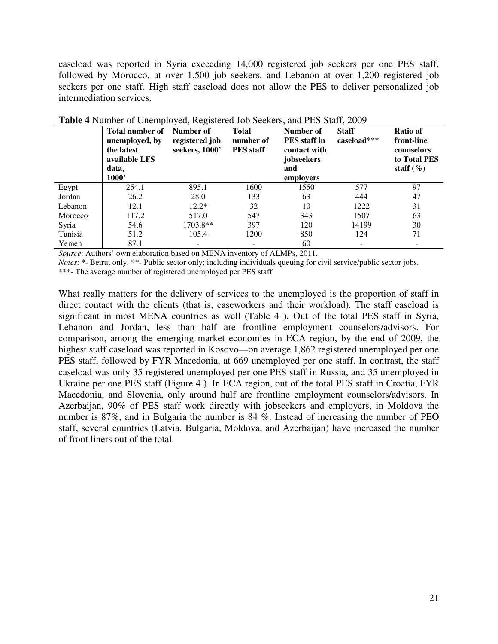caseload was reported in Syria exceeding 14,000 registered job seekers per one PES staff, followed by Morocco, at over 1,500 job seekers, and Lebanon at over 1,200 registered job seekers per one staff. High staff caseload does not allow the PES to deliver personalized job intermediation services.

|         | <b>Total number of</b><br>unemployed, by<br>the latest<br>available LFS<br>data,<br>1000' | Number of<br>registered job<br>seekers, 1000' | <b>Total</b><br>number of<br><b>PES</b> staff | Number of<br><b>PES</b> staff in<br>contact with<br>jobseekers<br>and<br>employers | <b>Staff</b><br>caseload*** | Ratio of<br>front-line<br>counselors<br>to Total PES<br>staff $(\%)$ |
|---------|-------------------------------------------------------------------------------------------|-----------------------------------------------|-----------------------------------------------|------------------------------------------------------------------------------------|-----------------------------|----------------------------------------------------------------------|
| Egypt   | 254.1                                                                                     | 895.1                                         | 1600                                          | 1550                                                                               | 577                         | 97                                                                   |
| Jordan  | 26.2                                                                                      | 28.0                                          | 133                                           | 63                                                                                 | 444                         | 47                                                                   |
| Lebanon | 12.1                                                                                      | $12.2*$                                       | 32                                            | 10                                                                                 | 1222                        | 31                                                                   |
| Morocco | 117.2                                                                                     | 517.0                                         | 547                                           | 343                                                                                | 1507                        | 63                                                                   |
| Syria   | 54.6                                                                                      | 1703.8**                                      | 397                                           | 120                                                                                | 14199                       | 30                                                                   |
| Tunisia | 51.2                                                                                      | 105.4                                         | 1200                                          | 850                                                                                | 124                         | 71                                                                   |
| Yemen   | 87.1                                                                                      | $\overline{\phantom{a}}$                      | $\overline{\phantom{0}}$                      | 60                                                                                 |                             | $\overline{\phantom{a}}$                                             |

| Table 4 Number of Unemployed, Registered Job Seekers, and PES Staff, 2009 |  |
|---------------------------------------------------------------------------|--|
|---------------------------------------------------------------------------|--|

*Source*: Authors' own elaboration based on MENA inventory of ALMPs, 2011.

*Notes*: \*- Beirut only. \*\*- Public sector only; including individuals queuing for civil service/public sector jobs.

\*\*\*- The average number of registered unemployed per PES staff

What really matters for the delivery of services to the unemployed is the proportion of staff in direct contact with the clients (that is, caseworkers and their workload). The staff caseload is significant in most MENA countries as well (Table 4 )**.** Out of the total PES staff in Syria, Lebanon and Jordan, less than half are frontline employment counselors/advisors. For comparison, among the emerging market economies in ECA region, by the end of 2009, the highest staff caseload was reported in Kosovo—on average 1,862 registered unemployed per one PES staff, followed by FYR Macedonia, at 669 unemployed per one staff. In contrast, the staff caseload was only 35 registered unemployed per one PES staff in Russia, and 35 unemployed in Ukraine per one PES staff (Figure 4 ). In ECA region, out of the total PES staff in Croatia, FYR Macedonia, and Slovenia, only around half are frontline employment counselors/advisors. In Azerbaijan, 90% of PES staff work directly with jobseekers and employers, in Moldova the number is 87%, and in Bulgaria the number is 84 %. Instead of increasing the number of PEO staff, several countries (Latvia, Bulgaria, Moldova, and Azerbaijan) have increased the number of front liners out of the total.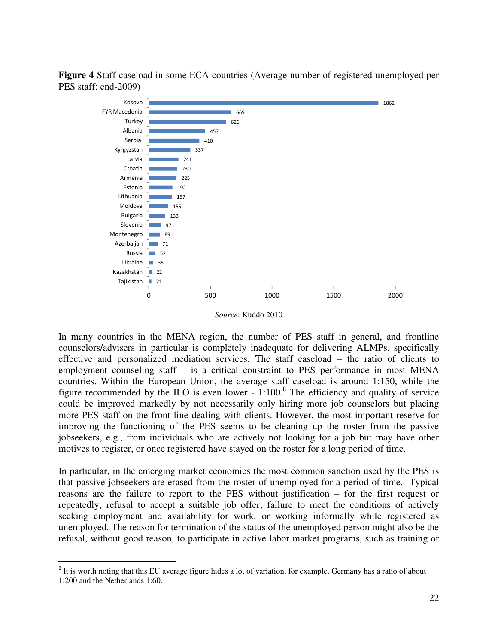**Figure 4** Staff caseload in some ECA countries (Average number of registered unemployed per PES staff; end-2009)



*Source*: Kuddo 2010

In many countries in the MENA region, the number of PES staff in general, and frontline counselors/advisers in particular is completely inadequate for delivering ALMPs, specifically effective and personalized mediation services. The staff caseload – the ratio of clients to employment counseling staff – is a critical constraint to PES performance in most MENA countries. Within the European Union, the average staff caseload is around 1:150, while the figure recommended by the ILO is even lower - 1:100.<sup>8</sup> The efficiency and quality of service could be improved markedly by not necessarily only hiring more job counselors but placing more PES staff on the front line dealing with clients. However, the most important reserve for improving the functioning of the PES seems to be cleaning up the roster from the passive jobseekers, e.g., from individuals who are actively not looking for a job but may have other motives to register, or once registered have stayed on the roster for a long period of time.

In particular, in the emerging market economies the most common sanction used by the PES is that passive jobseekers are erased from the roster of unemployed for a period of time. Typical reasons are the failure to report to the PES without justification – for the first request or repeatedly; refusal to accept a suitable job offer; failure to meet the conditions of actively seeking employment and availability for work, or working informally while registered as unemployed. The reason for termination of the status of the unemployed person might also be the refusal, without good reason, to participate in active labor market programs, such as training or

 $\overline{a}$ 

<sup>&</sup>lt;sup>8</sup> It is worth noting that this EU average figure hides a lot of variation, for example, Germany has a ratio of about 1:200 and the Netherlands 1:60.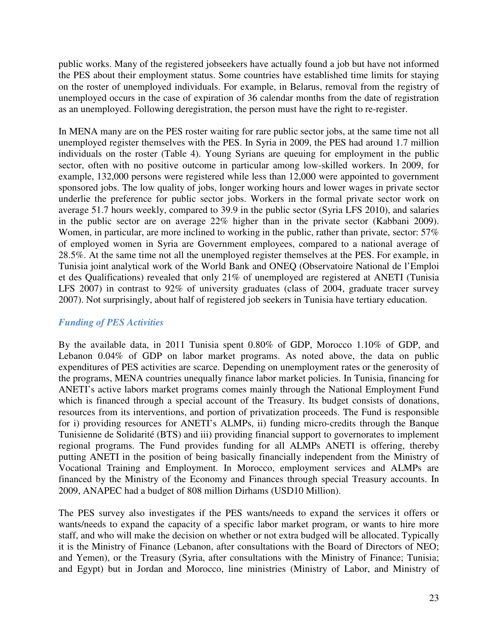public works. Many of the registered jobseekers have actually found a job but have not informed the PES about their employment status. Some countries have established time limits for staying on the roster of unemployed individuals. For example, in Belarus, removal from the registry of unemployed occurs in the case of expiration of 36 calendar months from the date of registration as an unemployed. Following deregistration, the person must have the right to re-register.

In MENA many are on the PES roster waiting for rare public sector jobs, at the same time not all unemployed register themselves with the PES. In Syria in 2009, the PES had around 1.7 million individuals on the roster (Table 4). Young Syrians are queuing for employment in the public sector, often with no positive outcome in particular among low-skilled workers. In 2009, for example, 132,000 persons were registered while less than 12,000 were appointed to government sponsored jobs. The low quality of jobs, longer working hours and lower wages in private sector underlie the preference for public sector jobs. Workers in the formal private sector work on average 51.7 hours weekly, compared to 39.9 in the public sector (Syria LFS 2010), and salaries in the public sector are on average 22% higher than in the private sector (Kabbani 2009). Women, in particular, are more inclined to working in the public, rather than private, sector: 57% of employed women in Syria are Government employees, compared to a national average of 28.5%. At the same time not all the unemployed register themselves at the PES. For example, in Tunisia joint analytical work of the World Bank and ONEQ (Observatoire National de l'Emploi et des Qualifications) revealed that only 21% of unemployed are registered at ANETI (Tunisia LFS 2007) in contrast to 92% of university graduates (class of 2004, graduate tracer survey 2007). Not surprisingly, about half of registered job seekers in Tunisia have tertiary education.

# *Funding of PES Activities*

By the available data, in 2011 Tunisia spent 0.80% of GDP, Morocco 1.10% of GDP, and Lebanon 0.04% of GDP on labor market programs. As noted above, the data on public expenditures of PES activities are scarce. Depending on unemployment rates or the generosity of the programs, MENA countries unequally finance labor market policies. In Tunisia, financing for ANETI's active labors market programs comes mainly through the National Employment Fund which is financed through a special account of the Treasury. Its budget consists of donations, resources from its interventions, and portion of privatization proceeds. The Fund is responsible for i) providing resources for ANETI's ALMPs, ii) funding micro-credits through the Banque Tunisienne de Solidarité (BTS) and iii) providing financial support to governorates to implement regional programs. The Fund provides funding for all ALMPs ANETI is offering, thereby putting ANETI in the position of being basically financially independent from the Ministry of Vocational Training and Employment. In Morocco, employment services and ALMPs are financed by the Ministry of the Economy and Finances through special Treasury accounts. In 2009, ANAPEC had a budget of 808 million Dirhams (USD10 Million).

The PES survey also investigates if the PES wants/needs to expand the services it offers or wants/needs to expand the capacity of a specific labor market program, or wants to hire more staff, and who will make the decision on whether or not extra budged will be allocated. Typically it is the Ministry of Finance (Lebanon, after consultations with the Board of Directors of NEO; and Yemen), or the Treasury (Syria, after consultations with the Ministry of Finance; Tunisia; and Egypt) but in Jordan and Morocco, line ministries (Ministry of Labor, and Ministry of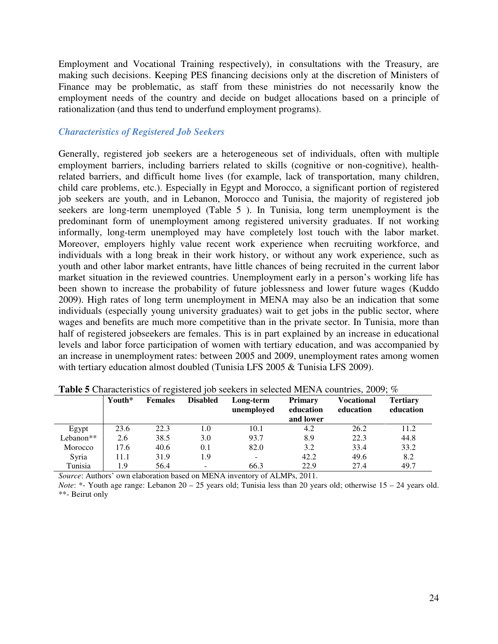Employment and Vocational Training respectively), in consultations with the Treasury, are making such decisions. Keeping PES financing decisions only at the discretion of Ministers of Finance may be problematic, as staff from these ministries do not necessarily know the employment needs of the country and decide on budget allocations based on a principle of rationalization (and thus tend to underfund employment programs).

## *Characteristics of Registered Job Seekers*

Generally, registered job seekers are a heterogeneous set of individuals, often with multiple employment barriers, including barriers related to skills (cognitive or non-cognitive), healthrelated barriers, and difficult home lives (for example, lack of transportation, many children, child care problems, etc.). Especially in Egypt and Morocco, a significant portion of registered job seekers are youth, and in Lebanon, Morocco and Tunisia, the majority of registered job seekers are long-term unemployed (Table 5 ). In Tunisia, long term unemployment is the predominant form of unemployment among registered university graduates. If not working informally, long-term unemployed may have completely lost touch with the labor market. Moreover, employers highly value recent work experience when recruiting workforce, and individuals with a long break in their work history, or without any work experience, such as youth and other labor market entrants, have little chances of being recruited in the current labor market situation in the reviewed countries. Unemployment early in a person's working life has been shown to increase the probability of future joblessness and lower future wages (Kuddo 2009). High rates of long term unemployment in MENA may also be an indication that some individuals (especially young university graduates) wait to get jobs in the public sector, where wages and benefits are much more competitive than in the private sector. In Tunisia, more than half of registered jobseekers are females. This is in part explained by an increase in educational levels and labor force participation of women with tertiary education, and was accompanied by an increase in unemployment rates: between 2005 and 2009, unemployment rates among women with tertiary education almost doubled (Tunisia LFS 2005 & Tunisia LFS 2009).

| <b>Thore</b> Characteristics of registered for secrets in serected million countries, 2007, 70 |        |                |                 |                         |                                          |                         |                              |  |
|------------------------------------------------------------------------------------------------|--------|----------------|-----------------|-------------------------|------------------------------------------|-------------------------|------------------------------|--|
|                                                                                                | Youth* | <b>Females</b> | <b>Disabled</b> | Long-term<br>unemploved | <b>Primary</b><br>education<br>and lower | Vocational<br>education | <b>Tertiary</b><br>education |  |
| Egypt                                                                                          | 23.6   | 22.3           | 1.0             | 10.1                    | 4.2                                      | 26.2                    | 11.2                         |  |
| Lebanon <sup>**</sup>                                                                          | 2.6    | 38.5           | 3.0             | 93.7                    | 8.9                                      | 22.3                    | 44.8                         |  |
| Morocco                                                                                        | 17.6   | 40.6           | 0.1             | 82.0                    | 3.2                                      | 33.4                    | 33.2                         |  |
| Syria                                                                                          | 11.1   | 31.9           | 1.9             |                         | 42.2                                     | 49.6                    | 8.2                          |  |
| Tunisia                                                                                        | 1.9    | 56.4           |                 | 66.3                    | 22.9                                     | 27.4                    | 49.7                         |  |

**Table 5** Characteristics of registered job seekers in selected MENA countries, 2009; %

*Source*: Authors' own elaboration based on MENA inventory of ALMPs, 2011.

*Note*: \*- Youth age range: Lebanon 20 – 25 years old; Tunisia less than 20 years old; otherwise 15 – 24 years old. \*\*- Beirut only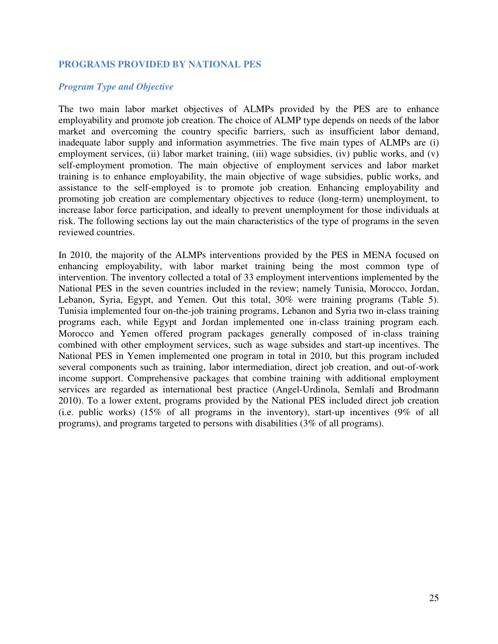#### **PROGRAMS PROVIDED BY NATIONAL PES**

#### *Program Type and Objective*

The two main labor market objectives of ALMPs provided by the PES are to enhance employability and promote job creation. The choice of ALMP type depends on needs of the labor market and overcoming the country specific barriers, such as insufficient labor demand, inadequate labor supply and information asymmetries. The five main types of ALMPs are (i) employment services, (ii) labor market training, (iii) wage subsidies, (iv) public works, and (v) self-employment promotion. The main objective of employment services and labor market training is to enhance employability, the main objective of wage subsidies, public works, and assistance to the self-employed is to promote job creation. Enhancing employability and promoting job creation are complementary objectives to reduce (long-term) unemployment, to increase labor force participation, and ideally to prevent unemployment for those individuals at risk. The following sections lay out the main characteristics of the type of programs in the seven reviewed countries.

In 2010, the majority of the ALMPs interventions provided by the PES in MENA focused on enhancing employability, with labor market training being the most common type of intervention. The inventory collected a total of 33 employment interventions implemented by the National PES in the seven countries included in the review; namely Tunisia, Morocco, Jordan, Lebanon, Syria, Egypt, and Yemen. Out this total, 30% were training programs (Table 5). Tunisia implemented four on-the-job training programs, Lebanon and Syria two in-class training programs each, while Egypt and Jordan implemented one in-class training program each. Morocco and Yemen offered program packages generally composed of in-class training combined with other employment services, such as wage subsides and start-up incentives. The National PES in Yemen implemented one program in total in 2010, but this program included several components such as training, labor intermediation, direct job creation, and out-of-work income support. Comprehensive packages that combine training with additional employment services are regarded as international best practice (Angel-Urdinola, Semlali and Brodmann 2010). To a lower extent, programs provided by the National PES included direct job creation (i.e. public works) (15% of all programs in the inventory), start-up incentives (9% of all programs), and programs targeted to persons with disabilities (3% of all programs).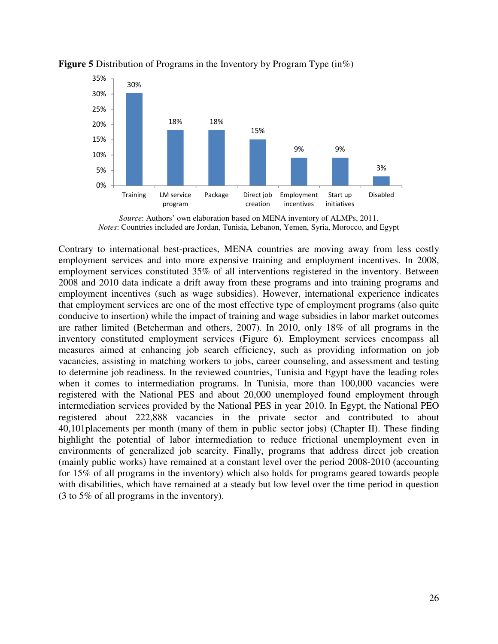

#### **Figure 5** Distribution of Programs in the Inventory by Program Type (in%)

*Source*: Authors' own elaboration based on MENA inventory of ALMPs, 2011. *Notes*: Countries included are Jordan, Tunisia, Lebanon, Yemen, Syria, Morocco, and Egypt

Contrary to international best-practices, MENA countries are moving away from less costly employment services and into more expensive training and employment incentives. In 2008, employment services constituted 35% of all interventions registered in the inventory. Between 2008 and 2010 data indicate a drift away from these programs and into training programs and employment incentives (such as wage subsidies). However, international experience indicates that employment services are one of the most effective type of employment programs (also quite conducive to insertion) while the impact of training and wage subsidies in labor market outcomes are rather limited (Betcherman and others, 2007). In 2010, only 18% of all programs in the inventory constituted employment services (Figure 6). Employment services encompass all measures aimed at enhancing job search efficiency, such as providing information on job vacancies, assisting in matching workers to jobs, career counseling, and assessment and testing to determine job readiness. In the reviewed countries, Tunisia and Egypt have the leading roles when it comes to intermediation programs. In Tunisia, more than 100,000 vacancies were registered with the National PES and about 20,000 unemployed found employment through intermediation services provided by the National PES in year 2010. In Egypt, the National PEO registered about 222,888 vacancies in the private sector and contributed to about 40,101placements per month (many of them in public sector jobs) (Chapter II). These finding highlight the potential of labor intermediation to reduce frictional unemployment even in environments of generalized job scarcity. Finally, programs that address direct job creation (mainly public works) have remained at a constant level over the period 2008-2010 (accounting for 15% of all programs in the inventory) which also holds for programs geared towards people with disabilities, which have remained at a steady but low level over the time period in question (3 to 5% of all programs in the inventory).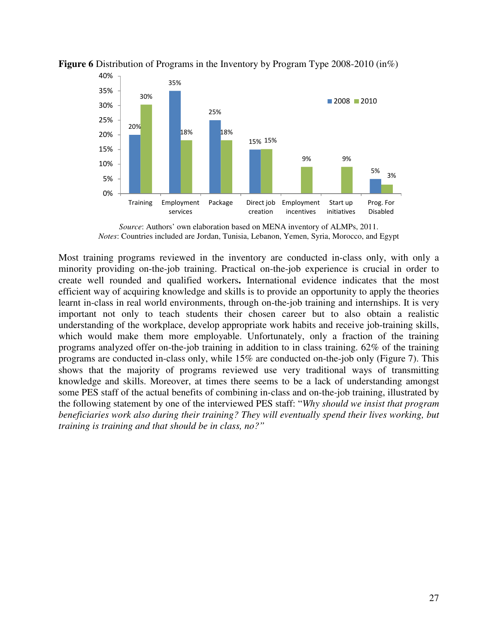

**Figure 6** Distribution of Programs in the Inventory by Program Type 2008-2010 (in%)

Most training programs reviewed in the inventory are conducted in-class only, with only a minority providing on-the-job training. Practical on-the-job experience is crucial in order to create well rounded and qualified workers**.** International evidence indicates that the most efficient way of acquiring knowledge and skills is to provide an opportunity to apply the theories learnt in-class in real world environments, through on-the-job training and internships. It is very important not only to teach students their chosen career but to also obtain a realistic understanding of the workplace, develop appropriate work habits and receive job-training skills, which would make them more employable. Unfortunately, only a fraction of the training programs analyzed offer on-the-job training in addition to in class training. 62% of the training programs are conducted in-class only, while 15% are conducted on-the-job only (Figure 7). This shows that the majority of programs reviewed use very traditional ways of transmitting knowledge and skills. Moreover, at times there seems to be a lack of understanding amongst some PES staff of the actual benefits of combining in-class and on-the-job training, illustrated by the following statement by one of the interviewed PES staff: "*Why should we insist that program beneficiaries work also during their training? They will eventually spend their lives working, but training is training and that should be in class, no?"* 

*Source*: Authors' own elaboration based on MENA inventory of ALMPs, 2011. *Notes*: Countries included are Jordan, Tunisia, Lebanon, Yemen, Syria, Morocco, and Egypt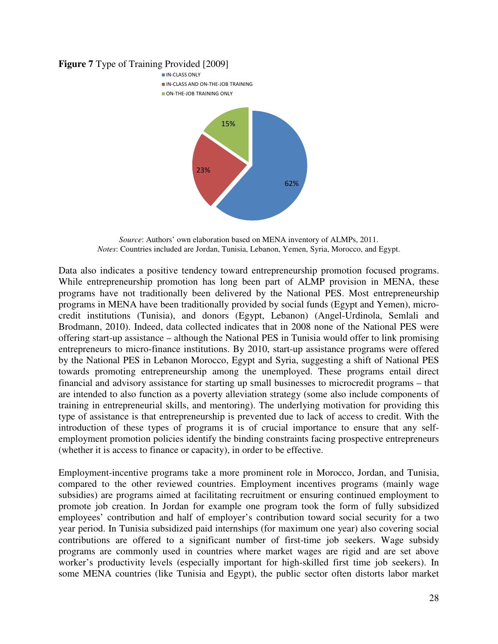#### **Figure 7** Type of Training Provided [2009]



*Source*: Authors' own elaboration based on MENA inventory of ALMPs, 2011. *Notes*: Countries included are Jordan, Tunisia, Lebanon, Yemen, Syria, Morocco, and Egypt.

Data also indicates a positive tendency toward entrepreneurship promotion focused programs. While entrepreneurship promotion has long been part of ALMP provision in MENA, these programs have not traditionally been delivered by the National PES. Most entrepreneurship programs in MENA have been traditionally provided by social funds (Egypt and Yemen), microcredit institutions (Tunisia), and donors (Egypt, Lebanon) (Angel-Urdinola, Semlali and Brodmann, 2010). Indeed, data collected indicates that in 2008 none of the National PES were offering start-up assistance – although the National PES in Tunisia would offer to link promising entrepreneurs to micro-finance institutions. By 2010, start-up assistance programs were offered by the National PES in Lebanon Morocco, Egypt and Syria, suggesting a shift of National PES towards promoting entrepreneurship among the unemployed. These programs entail direct financial and advisory assistance for starting up small businesses to microcredit programs – that are intended to also function as a poverty alleviation strategy (some also include components of training in entrepreneurial skills, and mentoring). The underlying motivation for providing this type of assistance is that entrepreneurship is prevented due to lack of access to credit. With the introduction of these types of programs it is of crucial importance to ensure that any selfemployment promotion policies identify the binding constraints facing prospective entrepreneurs (whether it is access to finance or capacity), in order to be effective.

Employment-incentive programs take a more prominent role in Morocco, Jordan, and Tunisia, compared to the other reviewed countries. Employment incentives programs (mainly wage subsidies) are programs aimed at facilitating recruitment or ensuring continued employment to promote job creation. In Jordan for example one program took the form of fully subsidized employees' contribution and half of employer's contribution toward social security for a two year period. In Tunisia subsidized paid internships (for maximum one year) also covering social contributions are offered to a significant number of first-time job seekers. Wage subsidy programs are commonly used in countries where market wages are rigid and are set above worker's productivity levels (especially important for high-skilled first time job seekers). In some MENA countries (like Tunisia and Egypt), the public sector often distorts labor market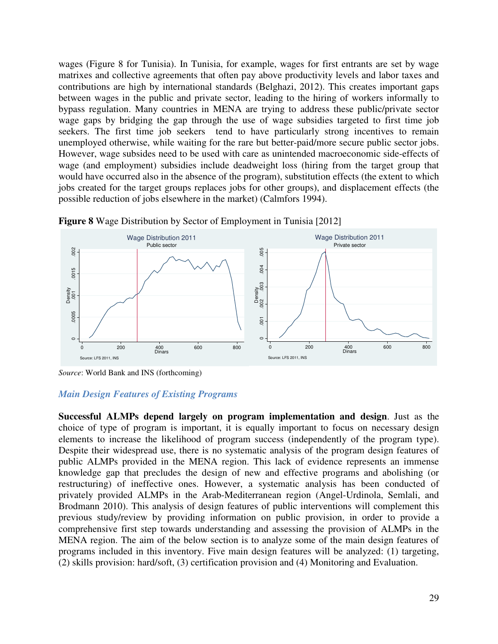wages (Figure 8 for Tunisia). In Tunisia, for example, wages for first entrants are set by wage matrixes and collective agreements that often pay above productivity levels and labor taxes and contributions are high by international standards (Belghazi, 2012). This creates important gaps between wages in the public and private sector, leading to the hiring of workers informally to bypass regulation. Many countries in MENA are trying to address these public/private sector wage gaps by bridging the gap through the use of wage subsidies targeted to first time job seekers. The first time job seekers tend to have particularly strong incentives to remain unemployed otherwise, while waiting for the rare but better-paid/more secure public sector jobs. However, wage subsides need to be used with care as unintended macroeconomic side-effects of wage (and employment) subsidies include deadweight loss (hiring from the target group that would have occurred also in the absence of the program), substitution effects (the extent to which jobs created for the target groups replaces jobs for other groups), and displacement effects (the possible reduction of jobs elsewhere in the market) (Calmfors 1994).



**Figure 8** Wage Distribution by Sector of Employment in Tunisia [2012]

*Source*: World Bank and INS (forthcoming)

## *Main Design Features of Existing Programs*

**Successful ALMPs depend largely on program implementation and design**. Just as the choice of type of program is important, it is equally important to focus on necessary design elements to increase the likelihood of program success (independently of the program type). Despite their widespread use, there is no systematic analysis of the program design features of public ALMPs provided in the MENA region. This lack of evidence represents an immense knowledge gap that precludes the design of new and effective programs and abolishing (or restructuring) of ineffective ones. However, a systematic analysis has been conducted of privately provided ALMPs in the Arab-Mediterranean region (Angel-Urdinola, Semlali, and Brodmann 2010). This analysis of design features of public interventions will complement this previous study/review by providing information on public provision, in order to provide a comprehensive first step towards understanding and assessing the provision of ALMPs in the MENA region. The aim of the below section is to analyze some of the main design features of programs included in this inventory. Five main design features will be analyzed: (1) targeting, (2) skills provision: hard/soft, (3) certification provision and (4) Monitoring and Evaluation.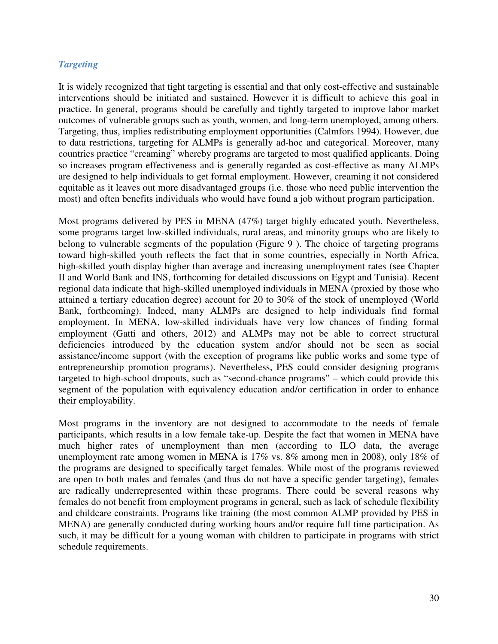# *Targeting*

It is widely recognized that tight targeting is essential and that only cost-effective and sustainable interventions should be initiated and sustained. However it is difficult to achieve this goal in practice. In general, programs should be carefully and tightly targeted to improve labor market outcomes of vulnerable groups such as youth, women, and long-term unemployed, among others. Targeting, thus, implies redistributing employment opportunities (Calmfors 1994). However, due to data restrictions, targeting for ALMPs is generally ad-hoc and categorical. Moreover, many countries practice "creaming" whereby programs are targeted to most qualified applicants. Doing so increases program effectiveness and is generally regarded as cost-effective as many ALMPs are designed to help individuals to get formal employment. However, creaming it not considered equitable as it leaves out more disadvantaged groups (i.e. those who need public intervention the most) and often benefits individuals who would have found a job without program participation.

Most programs delivered by PES in MENA (47%) target highly educated youth. Nevertheless, some programs target low-skilled individuals, rural areas, and minority groups who are likely to belong to vulnerable segments of the population (Figure 9 ). The choice of targeting programs toward high-skilled youth reflects the fact that in some countries, especially in North Africa, high-skilled youth display higher than average and increasing unemployment rates (see Chapter II and World Bank and INS, forthcoming for detailed discussions on Egypt and Tunisia). Recent regional data indicate that high-skilled unemployed individuals in MENA (proxied by those who attained a tertiary education degree) account for 20 to 30% of the stock of unemployed (World Bank, forthcoming). Indeed, many ALMPs are designed to help individuals find formal employment. In MENA, low-skilled individuals have very low chances of finding formal employment (Gatti and others, 2012) and ALMPs may not be able to correct structural deficiencies introduced by the education system and/or should not be seen as social assistance/income support (with the exception of programs like public works and some type of entrepreneurship promotion programs). Nevertheless, PES could consider designing programs targeted to high-school dropouts, such as "second-chance programs" – which could provide this segment of the population with equivalency education and/or certification in order to enhance their employability.

Most programs in the inventory are not designed to accommodate to the needs of female participants, which results in a low female take-up. Despite the fact that women in MENA have much higher rates of unemployment than men (according to ILO data, the average unemployment rate among women in MENA is 17% vs. 8% among men in 2008), only 18% of the programs are designed to specifically target females. While most of the programs reviewed are open to both males and females (and thus do not have a specific gender targeting), females are radically underrepresented within these programs. There could be several reasons why females do not benefit from employment programs in general, such as lack of schedule flexibility and childcare constraints. Programs like training (the most common ALMP provided by PES in MENA) are generally conducted during working hours and/or require full time participation. As such, it may be difficult for a young woman with children to participate in programs with strict schedule requirements.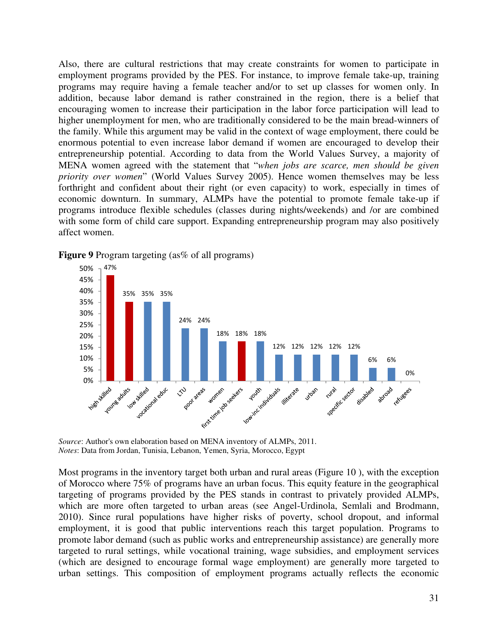Also, there are cultural restrictions that may create constraints for women to participate in employment programs provided by the PES. For instance, to improve female take-up, training programs may require having a female teacher and/or to set up classes for women only. In addition, because labor demand is rather constrained in the region, there is a belief that encouraging women to increase their participation in the labor force participation will lead to higher unemployment for men, who are traditionally considered to be the main bread-winners of the family. While this argument may be valid in the context of wage employment, there could be enormous potential to even increase labor demand if women are encouraged to develop their entrepreneurship potential. According to data from the World Values Survey, a majority of MENA women agreed with the statement that "*when jobs are scarce, men should be given priority over women*" (World Values Survey 2005). Hence women themselves may be less forthright and confident about their right (or even capacity) to work, especially in times of economic downturn. In summary, ALMPs have the potential to promote female take-up if programs introduce flexible schedules (classes during nights/weekends) and /or are combined with some form of child care support. Expanding entrepreneurship program may also positively affect women.



**Figure 9** Program targeting (as% of all programs)

*Source*: Author's own elaboration based on MENA inventory of ALMPs, 2011. *Notes*: Data from Jordan, Tunisia, Lebanon, Yemen, Syria, Morocco, Egypt

Most programs in the inventory target both urban and rural areas (Figure 10 ), with the exception of Morocco where 75% of programs have an urban focus. This equity feature in the geographical targeting of programs provided by the PES stands in contrast to privately provided ALMPs, which are more often targeted to urban areas (see Angel-Urdinola, Semlali and Brodmann, 2010). Since rural populations have higher risks of poverty, school dropout, and informal employment, it is good that public interventions reach this target population. Programs to promote labor demand (such as public works and entrepreneurship assistance) are generally more targeted to rural settings, while vocational training, wage subsidies, and employment services (which are designed to encourage formal wage employment) are generally more targeted to urban settings. This composition of employment programs actually reflects the economic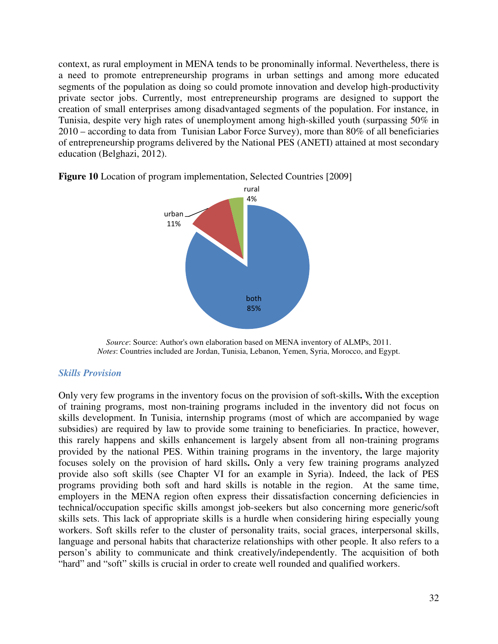context, as rural employment in MENA tends to be pronominally informal. Nevertheless, there is a need to promote entrepreneurship programs in urban settings and among more educated segments of the population as doing so could promote innovation and develop high-productivity private sector jobs. Currently, most entrepreneurship programs are designed to support the creation of small enterprises among disadvantaged segments of the population. For instance, in Tunisia, despite very high rates of unemployment among high-skilled youth (surpassing 50% in 2010 – according to data from Tunisian Labor Force Survey), more than 80% of all beneficiaries of entrepreneurship programs delivered by the National PES (ANETI) attained at most secondary education (Belghazi, 2012).



**Figure 10** Location of program implementation, Selected Countries [2009]

*Source*: Source: Author's own elaboration based on MENA inventory of ALMPs, 2011. *Notes*: Countries included are Jordan, Tunisia, Lebanon, Yemen, Syria, Morocco, and Egypt.

#### *Skills Provision*

Only very few programs in the inventory focus on the provision of soft-skills**.** With the exception of training programs, most non-training programs included in the inventory did not focus on skills development. In Tunisia, internship programs (most of which are accompanied by wage subsidies) are required by law to provide some training to beneficiaries. In practice, however, this rarely happens and skills enhancement is largely absent from all non-training programs provided by the national PES. Within training programs in the inventory, the large majority focuses solely on the provision of hard skills**.** Only a very few training programs analyzed provide also soft skills (see Chapter VI for an example in Syria). Indeed, the lack of PES programs providing both soft and hard skills is notable in the region. At the same time, employers in the MENA region often express their dissatisfaction concerning deficiencies in technical/occupation specific skills amongst job-seekers but also concerning more generic/soft skills sets. This lack of appropriate skills is a hurdle when considering hiring especially young workers. Soft skills refer to the cluster of personality traits, social graces, interpersonal skills, language and personal habits that characterize relationships with other people. It also refers to a person's ability to communicate and think creatively/independently. The acquisition of both "hard" and "soft" skills is crucial in order to create well rounded and qualified workers.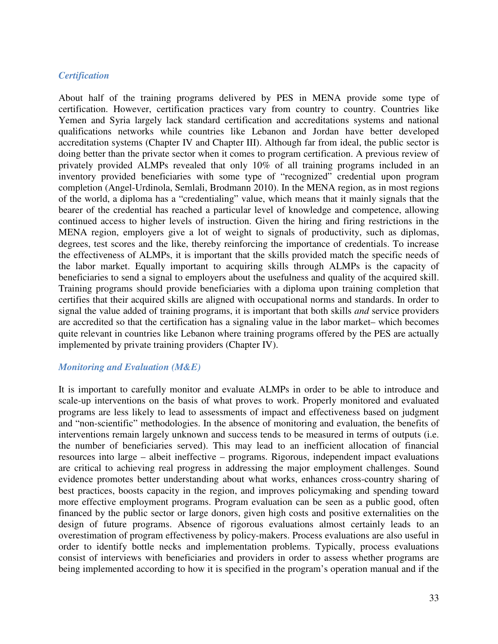## *Certification*

About half of the training programs delivered by PES in MENA provide some type of certification. However, certification practices vary from country to country. Countries like Yemen and Syria largely lack standard certification and accreditations systems and national qualifications networks while countries like Lebanon and Jordan have better developed accreditation systems (Chapter IV and Chapter III). Although far from ideal, the public sector is doing better than the private sector when it comes to program certification. A previous review of privately provided ALMPs revealed that only 10% of all training programs included in an inventory provided beneficiaries with some type of "recognized" credential upon program completion (Angel-Urdinola, Semlali, Brodmann 2010). In the MENA region, as in most regions of the world, a diploma has a "credentialing" value, which means that it mainly signals that the bearer of the credential has reached a particular level of knowledge and competence, allowing continued access to higher levels of instruction. Given the hiring and firing restrictions in the MENA region, employers give a lot of weight to signals of productivity, such as diplomas, degrees, test scores and the like, thereby reinforcing the importance of credentials. To increase the effectiveness of ALMPs, it is important that the skills provided match the specific needs of the labor market. Equally important to acquiring skills through ALMPs is the capacity of beneficiaries to send a signal to employers about the usefulness and quality of the acquired skill. Training programs should provide beneficiaries with a diploma upon training completion that certifies that their acquired skills are aligned with occupational norms and standards. In order to signal the value added of training programs, it is important that both skills *and* service providers are accredited so that the certification has a signaling value in the labor market– which becomes quite relevant in countries like Lebanon where training programs offered by the PES are actually implemented by private training providers (Chapter IV).

## *Monitoring and Evaluation (M&E)*

It is important to carefully monitor and evaluate ALMPs in order to be able to introduce and scale-up interventions on the basis of what proves to work. Properly monitored and evaluated programs are less likely to lead to assessments of impact and effectiveness based on judgment and "non-scientific" methodologies. In the absence of monitoring and evaluation, the benefits of interventions remain largely unknown and success tends to be measured in terms of outputs (i.e. the number of beneficiaries served). This may lead to an inefficient allocation of financial resources into large – albeit ineffective – programs. Rigorous, independent impact evaluations are critical to achieving real progress in addressing the major employment challenges. Sound evidence promotes better understanding about what works, enhances cross-country sharing of best practices, boosts capacity in the region, and improves policymaking and spending toward more effective employment programs. Program evaluation can be seen as a public good, often financed by the public sector or large donors, given high costs and positive externalities on the design of future programs. Absence of rigorous evaluations almost certainly leads to an overestimation of program effectiveness by policy-makers. Process evaluations are also useful in order to identify bottle necks and implementation problems. Typically, process evaluations consist of interviews with beneficiaries and providers in order to assess whether programs are being implemented according to how it is specified in the program's operation manual and if the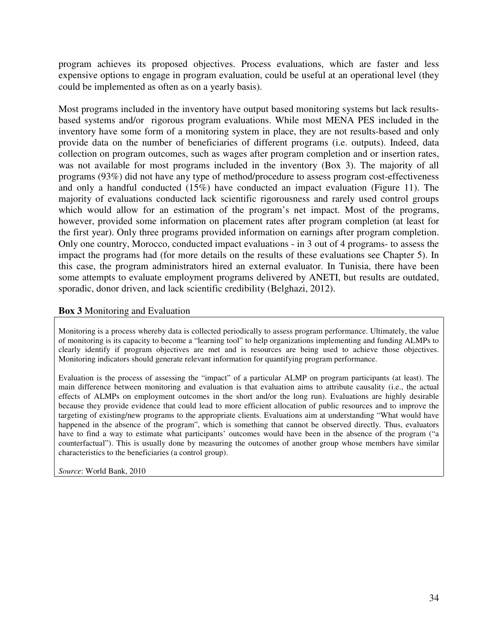program achieves its proposed objectives. Process evaluations, which are faster and less expensive options to engage in program evaluation, could be useful at an operational level (they could be implemented as often as on a yearly basis).

Most programs included in the inventory have output based monitoring systems but lack resultsbased systems and/or rigorous program evaluations. While most MENA PES included in the inventory have some form of a monitoring system in place, they are not results-based and only provide data on the number of beneficiaries of different programs (i.e. outputs). Indeed, data collection on program outcomes, such as wages after program completion and or insertion rates, was not available for most programs included in the inventory (Box 3). The majority of all programs (93%) did not have any type of method/procedure to assess program cost-effectiveness and only a handful conducted (15%) have conducted an impact evaluation (Figure 11). The majority of evaluations conducted lack scientific rigorousness and rarely used control groups which would allow for an estimation of the program's net impact. Most of the programs, however, provided some information on placement rates after program completion (at least for the first year). Only three programs provided information on earnings after program completion. Only one country, Morocco, conducted impact evaluations - in 3 out of 4 programs- to assess the impact the programs had (for more details on the results of these evaluations see Chapter 5). In this case, the program administrators hired an external evaluator. In Tunisia, there have been some attempts to evaluate employment programs delivered by ANETI, but results are outdated, sporadic, donor driven, and lack scientific credibility (Belghazi, 2012).

# **Box 3** Monitoring and Evaluation

Monitoring is a process whereby data is collected periodically to assess program performance. Ultimately, the value of monitoring is its capacity to become a "learning tool" to help organizations implementing and funding ALMPs to clearly identify if program objectives are met and is resources are being used to achieve those objectives. Monitoring indicators should generate relevant information for quantifying program performance.

Evaluation is the process of assessing the "impact" of a particular ALMP on program participants (at least). The main difference between monitoring and evaluation is that evaluation aims to attribute causality (i.e., the actual effects of ALMPs on employment outcomes in the short and/or the long run). Evaluations are highly desirable because they provide evidence that could lead to more efficient allocation of public resources and to improve the targeting of existing/new programs to the appropriate clients. Evaluations aim at understanding "What would have happened in the absence of the program", which is something that cannot be observed directly. Thus, evaluators have to find a way to estimate what participants' outcomes would have been in the absence of the program ("a counterfactual"). This is usually done by measuring the outcomes of another group whose members have similar characteristics to the beneficiaries (a control group).

*Source*: World Bank, 2010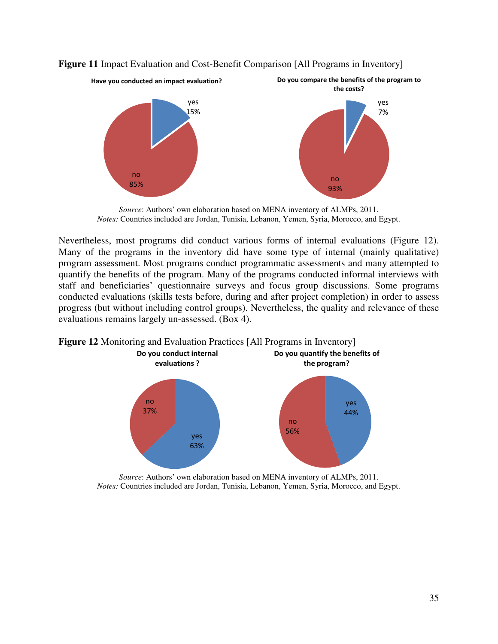

**Figure 11** Impact Evaluation and Cost-Benefit Comparison [All Programs in Inventory]

*Source*: Authors' own elaboration based on MENA inventory of ALMPs, 2011. *Notes:* Countries included are Jordan, Tunisia, Lebanon, Yemen, Syria, Morocco, and Egypt.

Nevertheless, most programs did conduct various forms of internal evaluations (Figure 12). Many of the programs in the inventory did have some type of internal (mainly qualitative) program assessment. Most programs conduct programmatic assessments and many attempted to quantify the benefits of the program. Many of the programs conducted informal interviews with staff and beneficiaries' questionnaire surveys and focus group discussions. Some programs conducted evaluations (skills tests before, during and after project completion) in order to assess progress (but without including control groups). Nevertheless, the quality and relevance of these evaluations remains largely un-assessed. (Box 4).

**Figure 12** Monitoring and Evaluation Practices [All Programs in Inventory]



*Source*: Authors' own elaboration based on MENA inventory of ALMPs, 2011. *Notes:* Countries included are Jordan, Tunisia, Lebanon, Yemen, Syria, Morocco, and Egypt.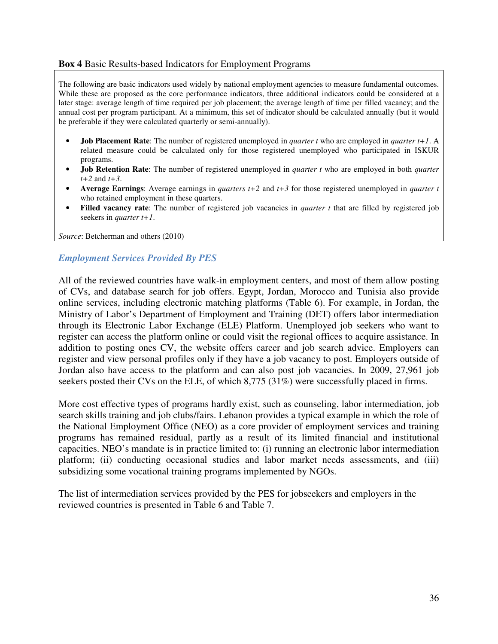#### **Box 4** Basic Results-based Indicators for Employment Programs

The following are basic indicators used widely by national employment agencies to measure fundamental outcomes. While these are proposed as the core performance indicators, three additional indicators could be considered at a later stage: average length of time required per job placement; the average length of time per filled vacancy; and the annual cost per program participant. At a minimum, this set of indicator should be calculated annually (but it would be preferable if they were calculated quarterly or semi-annually).

- **Job Placement Rate**: The number of registered unemployed in *quarter t* who are employed in *quarter t+1*. A related measure could be calculated only for those registered unemployed who participated in ISKUR programs.
- **Job Retention Rate**: The number of registered unemployed in *quarter t* who are employed in both *quarter t+2* and *t+3*.
- **Average Earnings**: Average earnings in *quarters t+2* and *t+3* for those registered unemployed in *quarter t* who retained employment in these quarters.
- **Filled vacancy rate**: The number of registered job vacancies in *quarter t* that are filled by registered job seekers in *quarter t+1*.

*Source*: Betcherman and others (2010)

# *Employment Services Provided By PES*

All of the reviewed countries have walk-in employment centers, and most of them allow posting of CVs, and database search for job offers. Egypt, Jordan, Morocco and Tunisia also provide online services, including electronic matching platforms (Table 6). For example, in Jordan, the Ministry of Labor's Department of Employment and Training (DET) offers labor intermediation through its Electronic Labor Exchange (ELE) Platform. Unemployed job seekers who want to register can access the platform online or could visit the regional offices to acquire assistance. In addition to posting ones CV, the website offers career and job search advice. Employers can register and view personal profiles only if they have a job vacancy to post. Employers outside of Jordan also have access to the platform and can also post job vacancies. In 2009, 27,961 job seekers posted their CVs on the ELE, of which 8,775 (31%) were successfully placed in firms.

More cost effective types of programs hardly exist, such as counseling, labor intermediation, job search skills training and job clubs/fairs. Lebanon provides a typical example in which the role of the National Employment Office (NEO) as a core provider of employment services and training programs has remained residual, partly as a result of its limited financial and institutional capacities. NEO's mandate is in practice limited to: (i) running an electronic labor intermediation platform; (ii) conducting occasional studies and labor market needs assessments, and (iii) subsidizing some vocational training programs implemented by NGOs.

The list of intermediation services provided by the PES for jobseekers and employers in the reviewed countries is presented in Table 6 and Table 7.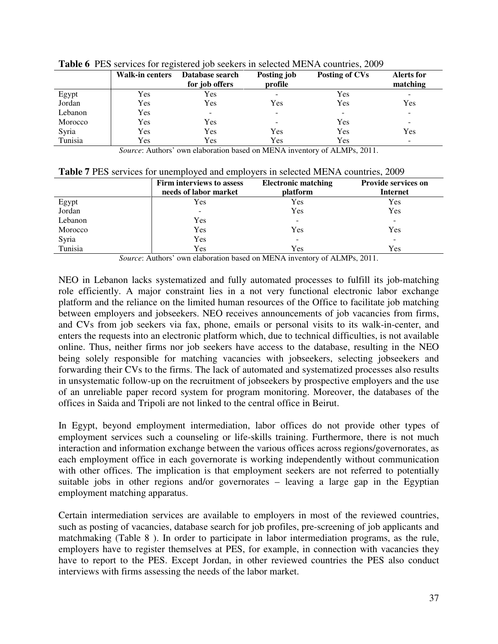|         | Walk-in centers | Database search<br>for job offers | Posting job<br>profile       | Posting of CVs           | <b>Alerts for</b><br>matching |  |  |
|---------|-----------------|-----------------------------------|------------------------------|--------------------------|-------------------------------|--|--|
| Egypt   | Yes             | Yes                               | $\overline{\phantom{a}}$     | <b>Yes</b>               | $\overline{\phantom{0}}$      |  |  |
| Jordan  | Yes             | Yes                               | Yes                          | Yes                      | Yes                           |  |  |
| Lebanon | Yes             | $\overline{\phantom{0}}$          | $\qquad \qquad \blacksquare$ | $\overline{\phantom{a}}$ | $\overline{\phantom{0}}$      |  |  |
| Morocco | Yes             | Yes                               | -                            | Yes                      | $\overline{\phantom{0}}$      |  |  |
| Syria   | Yes             | Yes                               | Yes                          | Yes                      | Yes                           |  |  |
| Tunisia | Yes             | Yes                               | Yes                          | Yes                      | $\overline{\phantom{0}}$      |  |  |

**Table 6** PES services for registered job seekers in selected MENA countries, 2009

*Source*: Authors' own elaboration based on MENA inventory of ALMPs, 2011.

|  |  |  |  | Table 7 PES services for unemployed and employers in selected MENA countries, 2009 |
|--|--|--|--|------------------------------------------------------------------------------------|
|--|--|--|--|------------------------------------------------------------------------------------|

|         | Firm interviews to assess<br>needs of labor market | <b>Electronic matching</b><br>platform | <b>Provide services on</b><br><b>Internet</b> |
|---------|----------------------------------------------------|----------------------------------------|-----------------------------------------------|
| Egypt   | Yes                                                | Yes                                    | <b>Yes</b>                                    |
| Jordan  |                                                    | Yes                                    | Yes                                           |
| Lebanon | Yes                                                |                                        | $\overline{\phantom{a}}$                      |
| Morocco | Yes                                                | Yes                                    | Yes                                           |
| Syria   | Yes                                                | $\overline{\phantom{a}}$               | $\overline{\phantom{0}}$                      |
| Tunisia | Yes                                                | Yes                                    | Yes                                           |

*Source*: Authors' own elaboration based on MENA inventory of ALMPs, 2011.

NEO in Lebanon lacks systematized and fully automated processes to fulfill its job-matching role efficiently. A major constraint lies in a not very functional electronic labor exchange platform and the reliance on the limited human resources of the Office to facilitate job matching between employers and jobseekers. NEO receives announcements of job vacancies from firms, and CVs from job seekers via fax, phone, emails or personal visits to its walk-in-center, and enters the requests into an electronic platform which, due to technical difficulties, is not available online. Thus, neither firms nor job seekers have access to the database, resulting in the NEO being solely responsible for matching vacancies with jobseekers, selecting jobseekers and forwarding their CVs to the firms. The lack of automated and systematized processes also results in unsystematic follow-up on the recruitment of jobseekers by prospective employers and the use of an unreliable paper record system for program monitoring. Moreover, the databases of the offices in Saida and Tripoli are not linked to the central office in Beirut.

In Egypt, beyond employment intermediation, labor offices do not provide other types of employment services such a counseling or life-skills training. Furthermore, there is not much interaction and information exchange between the various offices across regions/governorates, as each employment office in each governorate is working independently without communication with other offices. The implication is that employment seekers are not referred to potentially suitable jobs in other regions and/or governorates – leaving a large gap in the Egyptian employment matching apparatus.

Certain intermediation services are available to employers in most of the reviewed countries, such as posting of vacancies, database search for job profiles, pre-screening of job applicants and matchmaking (Table 8 ). In order to participate in labor intermediation programs, as the rule, employers have to register themselves at PES, for example, in connection with vacancies they have to report to the PES. Except Jordan, in other reviewed countries the PES also conduct interviews with firms assessing the needs of the labor market.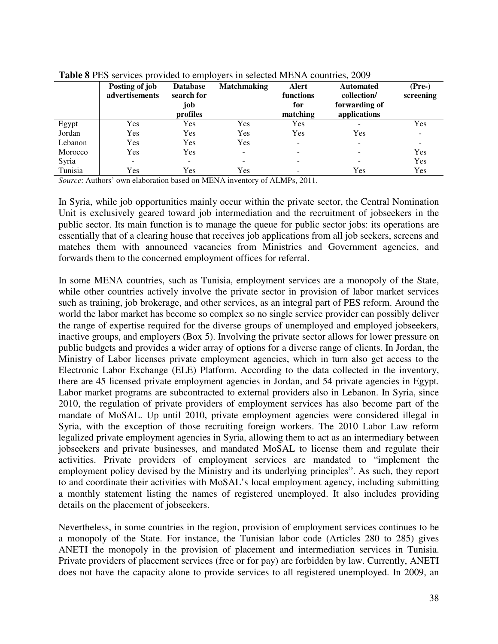| <b>TWOLF</b> OF LED SOLVIEWS PLOTIGUG TO UMPTO THE SUIDERG THEIR IT COMMITION $\equiv 0.07$ |                                  |                                                  |                    |                                       |                                                                  |                       |  |
|---------------------------------------------------------------------------------------------|----------------------------------|--------------------------------------------------|--------------------|---------------------------------------|------------------------------------------------------------------|-----------------------|--|
|                                                                                             | Posting of job<br>advertisements | <b>Database</b><br>search for<br>job<br>profiles | <b>Matchmaking</b> | Alert<br>functions<br>for<br>matching | <b>Automated</b><br>collection/<br>forwarding of<br>applications | $(Pre-)$<br>screening |  |
| Egypt                                                                                       | Yes                              | Yes                                              | Yes                | Yes                                   |                                                                  | Yes                   |  |
| Jordan                                                                                      | Yes                              | Yes                                              | Yes                | Yes                                   | Yes                                                              |                       |  |
| Lebanon                                                                                     | Yes                              | Yes                                              | Yes                | ٠                                     | $\overline{\phantom{a}}$                                         |                       |  |
| Morocco                                                                                     | Yes                              | Yes                                              | -                  | -                                     | $\overline{\phantom{0}}$                                         | Yes                   |  |
| Syria                                                                                       |                                  |                                                  |                    |                                       | -                                                                | Yes                   |  |
| Tunisia                                                                                     | Yes                              | Yes                                              | Yes                | $\overline{\phantom{0}}$              | Yes                                                              | Yes                   |  |

**Table 8** PES services provided to employers in selected MENA countries, 2009

*Source*: Authors' own elaboration based on MENA inventory of ALMPs, 2011.

In Syria, while job opportunities mainly occur within the private sector, the Central Nomination Unit is exclusively geared toward job intermediation and the recruitment of jobseekers in the public sector. Its main function is to manage the queue for public sector jobs: its operations are essentially that of a clearing house that receives job applications from all job seekers, screens and matches them with announced vacancies from Ministries and Government agencies, and forwards them to the concerned employment offices for referral.

In some MENA countries, such as Tunisia, employment services are a monopoly of the State, while other countries actively involve the private sector in provision of labor market services such as training, job brokerage, and other services, as an integral part of PES reform. Around the world the labor market has become so complex so no single service provider can possibly deliver the range of expertise required for the diverse groups of unemployed and employed jobseekers, inactive groups, and employers (Box 5). Involving the private sector allows for lower pressure on public budgets and provides a wider array of options for a diverse range of clients. In Jordan, the Ministry of Labor licenses private employment agencies, which in turn also get access to the Electronic Labor Exchange (ELE) Platform. According to the data collected in the inventory, there are 45 licensed private employment agencies in Jordan, and 54 private agencies in Egypt. Labor market programs are subcontracted to external providers also in Lebanon. In Syria, since 2010, the regulation of private providers of employment services has also become part of the mandate of MoSAL. Up until 2010, private employment agencies were considered illegal in Syria, with the exception of those recruiting foreign workers. The 2010 Labor Law reform legalized private employment agencies in Syria, allowing them to act as an intermediary between jobseekers and private businesses, and mandated MoSAL to license them and regulate their activities. Private providers of employment services are mandated to "implement the employment policy devised by the Ministry and its underlying principles". As such, they report to and coordinate their activities with MoSAL's local employment agency, including submitting a monthly statement listing the names of registered unemployed. It also includes providing details on the placement of jobseekers.

Nevertheless, in some countries in the region, provision of employment services continues to be a monopoly of the State. For instance, the Tunisian labor code (Articles 280 to 285) gives ANETI the monopoly in the provision of placement and intermediation services in Tunisia. Private providers of placement services (free or for pay) are forbidden by law. Currently, ANETI does not have the capacity alone to provide services to all registered unemployed. In 2009, an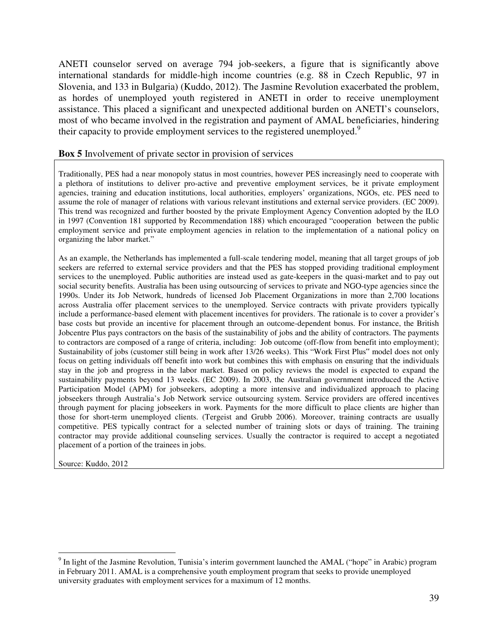ANETI counselor served on average 794 job-seekers, a figure that is significantly above international standards for middle-high income countries (e.g. 88 in Czech Republic, 97 in Slovenia, and 133 in Bulgaria) (Kuddo, 2012). The Jasmine Revolution exacerbated the problem, as hordes of unemployed youth registered in ANETI in order to receive unemployment assistance. This placed a significant and unexpected additional burden on ANETI's counselors, most of who became involved in the registration and payment of AMAL beneficiaries, hindering their capacity to provide employment services to the registered unemployed.<sup>9</sup>

#### **Box 5** Involvement of private sector in provision of services

Traditionally, PES had a near monopoly status in most countries, however PES increasingly need to cooperate with a plethora of institutions to deliver pro-active and preventive employment services, be it private employment agencies, training and education institutions, local authorities, employers' organizations, NGOs, etc. PES need to assume the role of manager of relations with various relevant institutions and external service providers. (EC 2009). This trend was recognized and further boosted by the private Employment Agency Convention adopted by the ILO in 1997 (Convention 181 supported by Recommendation 188) which encouraged "cooperation between the public employment service and private employment agencies in relation to the implementation of a national policy on organizing the labor market."

As an example, the Netherlands has implemented a full-scale tendering model, meaning that all target groups of job seekers are referred to external service providers and that the PES has stopped providing traditional employment services to the unemployed. Public authorities are instead used as gate-keepers in the quasi-market and to pay out social security benefits. Australia has been using outsourcing of services to private and NGO-type agencies since the 1990s. Under its Job Network, hundreds of licensed Job Placement Organizations in more than 2,700 locations across Australia offer placement services to the unemployed. Service contracts with private providers typically include a performance-based element with placement incentives for providers. The rationale is to cover a provider's base costs but provide an incentive for placement through an outcome-dependent bonus. For instance, the British Jobcentre Plus pays contractors on the basis of the sustainability of jobs and the ability of contractors. The payments to contractors are composed of a range of criteria, including: Job outcome (off-flow from benefit into employment); Sustainability of jobs (customer still being in work after 13/26 weeks). This "Work First Plus" model does not only focus on getting individuals off benefit into work but combines this with emphasis on ensuring that the individuals stay in the job and progress in the labor market. Based on policy reviews the model is expected to expand the sustainability payments beyond 13 weeks. (EC 2009). In 2003, the Australian government introduced the Active Participation Model (APM) for jobseekers, adopting a more intensive and individualized approach to placing jobseekers through Australia's Job Network service outsourcing system. Service providers are offered incentives through payment for placing jobseekers in work. Payments for the more difficult to place clients are higher than those for short-term unemployed clients. (Tergeist and Grubb 2006). Moreover, training contracts are usually competitive. PES typically contract for a selected number of training slots or days of training. The training contractor may provide additional counseling services. Usually the contractor is required to accept a negotiated placement of a portion of the trainees in jobs.

Source: Kuddo, 2012

 $\overline{a}$ 

 $9$  In light of the Jasmine Revolution, Tunisia's interim government launched the AMAL ("hope" in Arabic) program in February 2011. AMAL is a comprehensive youth employment program that seeks to provide unemployed university graduates with employment services for a maximum of 12 months.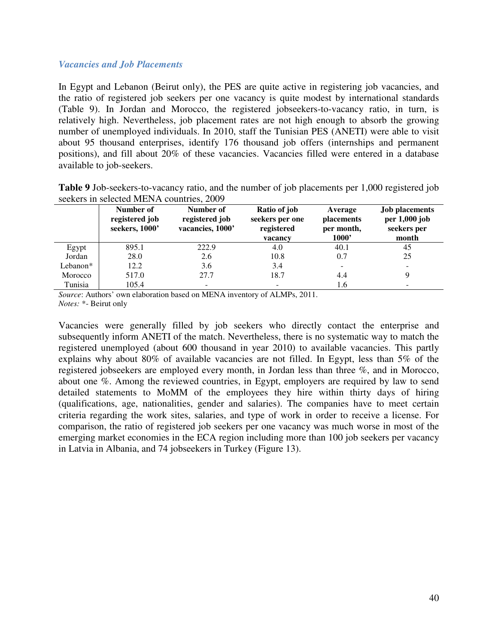#### *Vacancies and Job Placements*

In Egypt and Lebanon (Beirut only), the PES are quite active in registering job vacancies, and the ratio of registered job seekers per one vacancy is quite modest by international standards (Table 9). In Jordan and Morocco, the registered jobseekers-to-vacancy ratio, in turn, is relatively high. Nevertheless, job placement rates are not high enough to absorb the growing number of unemployed individuals. In 2010, staff the Tunisian PES (ANETI) were able to visit about 95 thousand enterprises, identify 176 thousand job offers (internships and permanent positions), and fill about 20% of these vacancies. Vacancies filled were entered in a database available to job-seekers.

| <b>Table 9</b> Job-seekers-to-vacancy ratio, and the number of job placements per 1,000 registered job |  |
|--------------------------------------------------------------------------------------------------------|--|
| seekers in selected MENA countries, 2009                                                               |  |

|          | Number of<br>registered job<br>seekers, 1000' | Number of<br>registered job<br>vacancies, 1000' | Ratio of job<br>seekers per one<br>registered<br>vacancy | Average<br><i>placements</i><br>per month,<br>1000' | <b>Job placements</b><br>per 1,000 job<br>seekers per<br>month |
|----------|-----------------------------------------------|-------------------------------------------------|----------------------------------------------------------|-----------------------------------------------------|----------------------------------------------------------------|
| Egypt    | 895.1                                         | 222.9                                           | 4.0                                                      | 40.1                                                | 45                                                             |
| Jordan   | 28.0                                          | 2.6                                             | 10.8                                                     | 0.7                                                 | 25                                                             |
| Lebanon* | 12.2                                          | 3.6                                             | 3.4                                                      |                                                     |                                                                |
| Morocco  | 517.0                                         | 27.7                                            | 18.7                                                     | 4.4                                                 | 9                                                              |
| Tunisia  | 105.4                                         |                                                 |                                                          | 1.6                                                 |                                                                |

*Source*: Authors' own elaboration based on MENA inventory of ALMPs, 2011. *Notes:* \*- Beirut only

Vacancies were generally filled by job seekers who directly contact the enterprise and subsequently inform ANETI of the match. Nevertheless, there is no systematic way to match the registered unemployed (about 600 thousand in year 2010) to available vacancies. This partly explains why about 80% of available vacancies are not filled. In Egypt, less than 5% of the registered jobseekers are employed every month, in Jordan less than three %, and in Morocco, about one %. Among the reviewed countries, in Egypt, employers are required by law to send detailed statements to MoMM of the employees they hire within thirty days of hiring (qualifications, age, nationalities, gender and salaries). The companies have to meet certain criteria regarding the work sites, salaries, and type of work in order to receive a license. For comparison, the ratio of registered job seekers per one vacancy was much worse in most of the emerging market economies in the ECA region including more than 100 job seekers per vacancy in Latvia in Albania, and 74 jobseekers in Turkey (Figure 13).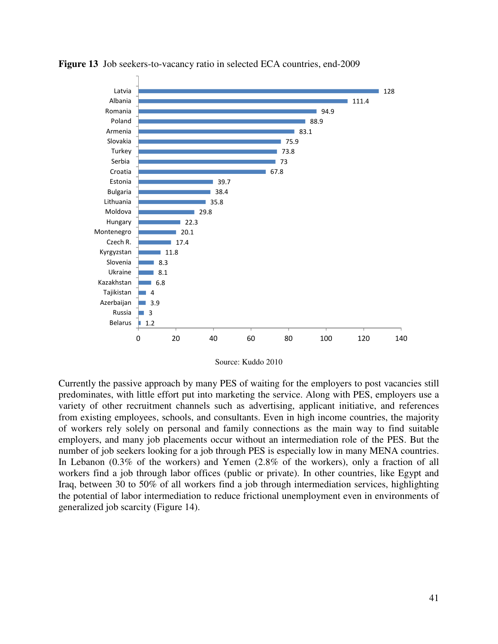

**Figure 13** Job seekers-to-vacancy ratio in selected ECA countries, end-2009

Source: Kuddo 2010

Currently the passive approach by many PES of waiting for the employers to post vacancies still predominates, with little effort put into marketing the service. Along with PES, employers use a variety of other recruitment channels such as advertising, applicant initiative, and references from existing employees, schools, and consultants. Even in high income countries, the majority of workers rely solely on personal and family connections as the main way to find suitable employers, and many job placements occur without an intermediation role of the PES. But the number of job seekers looking for a job through PES is especially low in many MENA countries. In Lebanon (0.3% of the workers) and Yemen (2.8% of the workers), only a fraction of all workers find a job through labor offices (public or private). In other countries, like Egypt and Iraq, between 30 to 50% of all workers find a job through intermediation services, highlighting the potential of labor intermediation to reduce frictional unemployment even in environments of generalized job scarcity (Figure 14).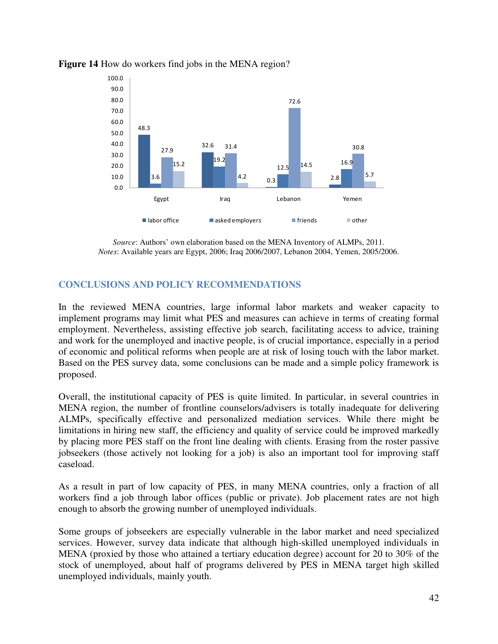

## **Figure 14** How do workers find jobs in the MENA region?

*Source*: Authors' own elaboration based on the MENA Inventory of ALMPs, 2011. *Notes*: Available years are Egypt, 2006; Iraq 2006/2007, Lebanon 2004, Yemen, 2005/2006.

# **CONCLUSIONS AND POLICY RECOMMENDATIONS**

In the reviewed MENA countries, large informal labor markets and weaker capacity to implement programs may limit what PES and measures can achieve in terms of creating formal employment. Nevertheless, assisting effective job search, facilitating access to advice, training and work for the unemployed and inactive people, is of crucial importance, especially in a period of economic and political reforms when people are at risk of losing touch with the labor market. Based on the PES survey data, some conclusions can be made and a simple policy framework is proposed.

Overall, the institutional capacity of PES is quite limited. In particular, in several countries in MENA region, the number of frontline counselors/advisers is totally inadequate for delivering ALMPs, specifically effective and personalized mediation services. While there might be limitations in hiring new staff, the efficiency and quality of service could be improved markedly by placing more PES staff on the front line dealing with clients. Erasing from the roster passive jobseekers (those actively not looking for a job) is also an important tool for improving staff caseload.

As a result in part of low capacity of PES, in many MENA countries, only a fraction of all workers find a job through labor offices (public or private). Job placement rates are not high enough to absorb the growing number of unemployed individuals.

Some groups of jobseekers are especially vulnerable in the labor market and need specialized services. However, survey data indicate that although high-skilled unemployed individuals in MENA (proxied by those who attained a tertiary education degree) account for 20 to 30% of the stock of unemployed, about half of programs delivered by PES in MENA target high skilled unemployed individuals, mainly youth.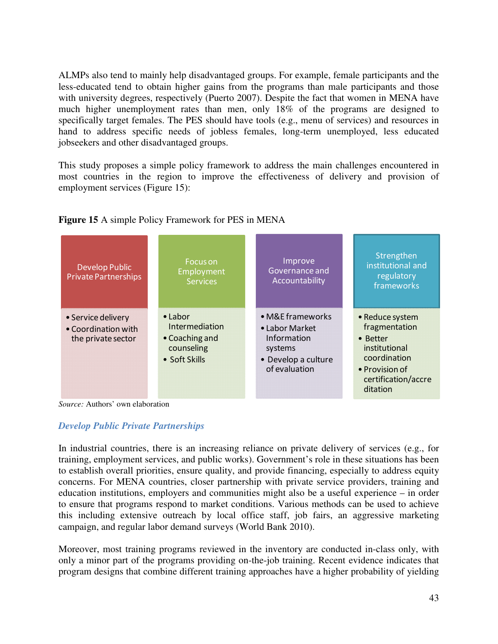ALMPs also tend to mainly help disadvantaged groups. For example, female participants and the less-educated tend to obtain higher gains from the programs than male participants and those with university degrees, respectively (Puerto 2007). Despite the fact that women in MENA have much higher unemployment rates than men, only 18% of the programs are designed to specifically target females. The PES should have tools (e.g., menu of services) and resources in hand to address specific needs of jobless females, long-term unemployed, less educated jobseekers and other disadvantaged groups.

This study proposes a simple policy framework to address the main challenges encountered in most countries in the region to improve the effectiveness of delivery and provision of employment services (Figure 15):



# **Figure 15** A simple Policy Framework for PES in MENA

*Source:* Authors' own elaboration

# *Develop Public Private Partnerships*

In industrial countries, there is an increasing reliance on private delivery of services (e.g., for training, employment services, and public works). Government's role in these situations has been to establish overall priorities, ensure quality, and provide financing, especially to address equity concerns. For MENA countries, closer partnership with private service providers, training and education institutions, employers and communities might also be a useful experience – in order to ensure that programs respond to market conditions. Various methods can be used to achieve this including extensive outreach by local office staff, job fairs, an aggressive marketing campaign, and regular labor demand surveys (World Bank 2010).

Moreover, most training programs reviewed in the inventory are conducted in-class only, with only a minor part of the programs providing on-the-job training. Recent evidence indicates that program designs that combine different training approaches have a higher probability of yielding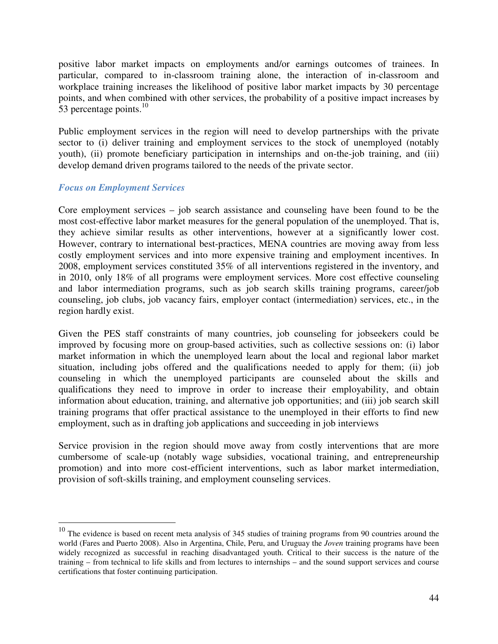positive labor market impacts on employments and/or earnings outcomes of trainees. In particular, compared to in-classroom training alone, the interaction of in-classroom and workplace training increases the likelihood of positive labor market impacts by 30 percentage points, and when combined with other services, the probability of a positive impact increases by 53 percentage points. $^{10}$ 

Public employment services in the region will need to develop partnerships with the private sector to (i) deliver training and employment services to the stock of unemployed (notably youth), (ii) promote beneficiary participation in internships and on-the-job training, and (iii) develop demand driven programs tailored to the needs of the private sector.

# *Focus on Employment Services*

 $\overline{a}$ 

Core employment services – job search assistance and counseling have been found to be the most cost-effective labor market measures for the general population of the unemployed. That is, they achieve similar results as other interventions, however at a significantly lower cost. However, contrary to international best-practices, MENA countries are moving away from less costly employment services and into more expensive training and employment incentives. In 2008, employment services constituted 35% of all interventions registered in the inventory, and in 2010, only 18% of all programs were employment services. More cost effective counseling and labor intermediation programs, such as job search skills training programs, career/job counseling, job clubs, job vacancy fairs, employer contact (intermediation) services, etc., in the region hardly exist.

Given the PES staff constraints of many countries, job counseling for jobseekers could be improved by focusing more on group-based activities, such as collective sessions on: (i) labor market information in which the unemployed learn about the local and regional labor market situation, including jobs offered and the qualifications needed to apply for them; (ii) job counseling in which the unemployed participants are counseled about the skills and qualifications they need to improve in order to increase their employability, and obtain information about education, training, and alternative job opportunities; and (iii) job search skill training programs that offer practical assistance to the unemployed in their efforts to find new employment, such as in drafting job applications and succeeding in job interviews

Service provision in the region should move away from costly interventions that are more cumbersome of scale-up (notably wage subsidies, vocational training, and entrepreneurship promotion) and into more cost-efficient interventions, such as labor market intermediation, provision of soft-skills training, and employment counseling services.

 $10$  The evidence is based on recent meta analysis of 345 studies of training programs from 90 countries around the world (Fares and Puerto 2008). Also in Argentina, Chile, Peru, and Uruguay the *Joven* training programs have been widely recognized as successful in reaching disadvantaged youth. Critical to their success is the nature of the training – from technical to life skills and from lectures to internships – and the sound support services and course certifications that foster continuing participation.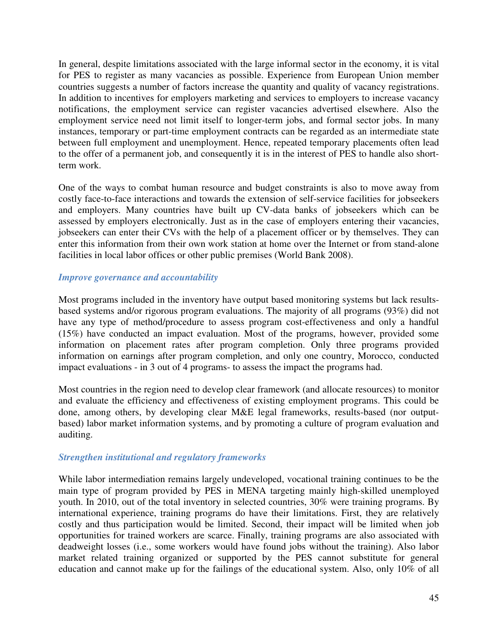In general, despite limitations associated with the large informal sector in the economy, it is vital for PES to register as many vacancies as possible. Experience from European Union member countries suggests a number of factors increase the quantity and quality of vacancy registrations. In addition to incentives for employers marketing and services to employers to increase vacancy notifications, the employment service can register vacancies advertised elsewhere. Also the employment service need not limit itself to longer-term jobs, and formal sector jobs. In many instances, temporary or part-time employment contracts can be regarded as an intermediate state between full employment and unemployment. Hence, repeated temporary placements often lead to the offer of a permanent job, and consequently it is in the interest of PES to handle also shortterm work.

One of the ways to combat human resource and budget constraints is also to move away from costly face-to-face interactions and towards the extension of self-service facilities for jobseekers and employers. Many countries have built up CV-data banks of jobseekers which can be assessed by employers electronically. Just as in the case of employers entering their vacancies, jobseekers can enter their CVs with the help of a placement officer or by themselves. They can enter this information from their own work station at home over the Internet or from stand-alone facilities in local labor offices or other public premises (World Bank 2008).

# *Improve governance and accountability*

Most programs included in the inventory have output based monitoring systems but lack resultsbased systems and/or rigorous program evaluations. The majority of all programs (93%) did not have any type of method/procedure to assess program cost-effectiveness and only a handful (15%) have conducted an impact evaluation. Most of the programs, however, provided some information on placement rates after program completion. Only three programs provided information on earnings after program completion, and only one country, Morocco, conducted impact evaluations - in 3 out of 4 programs- to assess the impact the programs had.

Most countries in the region need to develop clear framework (and allocate resources) to monitor and evaluate the efficiency and effectiveness of existing employment programs. This could be done, among others, by developing clear M&E legal frameworks, results-based (nor outputbased) labor market information systems, and by promoting a culture of program evaluation and auditing.

# *Strengthen institutional and regulatory frameworks*

While labor intermediation remains largely undeveloped, vocational training continues to be the main type of program provided by PES in MENA targeting mainly high-skilled unemployed youth. In 2010, out of the total inventory in selected countries, 30% were training programs. By international experience, training programs do have their limitations. First, they are relatively costly and thus participation would be limited. Second, their impact will be limited when job opportunities for trained workers are scarce. Finally, training programs are also associated with deadweight losses (i.e., some workers would have found jobs without the training). Also labor market related training organized or supported by the PES cannot substitute for general education and cannot make up for the failings of the educational system. Also, only 10% of all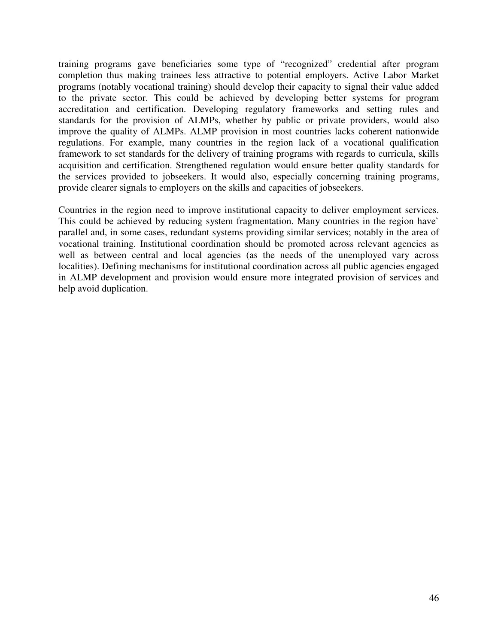training programs gave beneficiaries some type of "recognized" credential after program completion thus making trainees less attractive to potential employers. Active Labor Market programs (notably vocational training) should develop their capacity to signal their value added to the private sector. This could be achieved by developing better systems for program accreditation and certification. Developing regulatory frameworks and setting rules and standards for the provision of ALMPs, whether by public or private providers, would also improve the quality of ALMPs. ALMP provision in most countries lacks coherent nationwide regulations. For example, many countries in the region lack of a vocational qualification framework to set standards for the delivery of training programs with regards to curricula, skills acquisition and certification. Strengthened regulation would ensure better quality standards for the services provided to jobseekers. It would also, especially concerning training programs, provide clearer signals to employers on the skills and capacities of jobseekers.

Countries in the region need to improve institutional capacity to deliver employment services. This could be achieved by reducing system fragmentation. Many countries in the region have` parallel and, in some cases, redundant systems providing similar services; notably in the area of vocational training. Institutional coordination should be promoted across relevant agencies as well as between central and local agencies (as the needs of the unemployed vary across localities). Defining mechanisms for institutional coordination across all public agencies engaged in ALMP development and provision would ensure more integrated provision of services and help avoid duplication.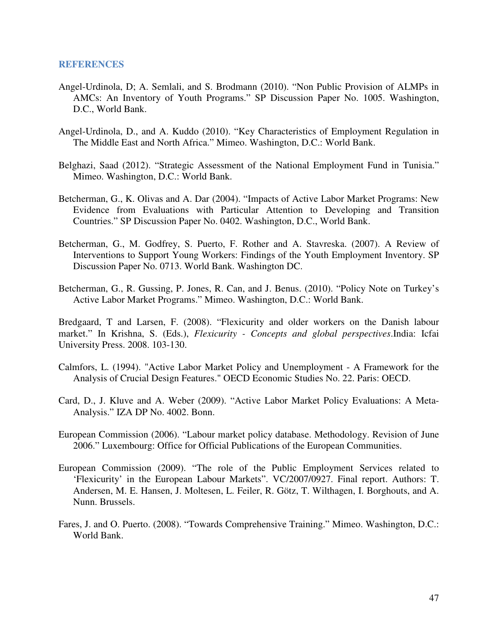#### **REFERENCES**

- Angel-Urdinola, D; A. Semlali, and S. Brodmann (2010). "Non Public Provision of ALMPs in AMCs: An Inventory of Youth Programs." SP Discussion Paper No. 1005. Washington, D.C., World Bank.
- Angel-Urdinola, D., and A. Kuddo (2010). "Key Characteristics of Employment Regulation in The Middle East and North Africa." Mimeo. Washington, D.C.: World Bank.
- Belghazi, Saad (2012). "Strategic Assessment of the National Employment Fund in Tunisia." Mimeo. Washington, D.C.: World Bank.
- Betcherman, G., K. Olivas and A. Dar (2004). "Impacts of Active Labor Market Programs: New Evidence from Evaluations with Particular Attention to Developing and Transition Countries." SP Discussion Paper No. 0402. Washington, D.C., World Bank.
- Betcherman, G., M. Godfrey, S. Puerto, F. Rother and A. Stavreska. (2007). A Review of Interventions to Support Young Workers: Findings of the Youth Employment Inventory. SP Discussion Paper No. 0713. World Bank. Washington DC.
- Betcherman, G., R. Gussing, P. Jones, R. Can, and J. Benus. (2010). "Policy Note on Turkey's Active Labor Market Programs." Mimeo. Washington, D.C.: World Bank.

Bredgaard, T and Larsen, F. (2008). "Flexicurity and older workers on the Danish labour market." In Krishna, S. (Eds.), *Flexicurity - Concepts and global perspectives*.India: Icfai University Press. 2008. 103-130.

- Calmfors, L. (1994). "Active Labor Market Policy and Unemployment A Framework for the Analysis of Crucial Design Features." OECD Economic Studies No. 22. Paris: OECD.
- Card, D., J. Kluve and A. Weber (2009). "Active Labor Market Policy Evaluations: A Meta-Analysis." IZA DP No. 4002. Bonn.
- European Commission (2006). "Labour market policy database. Methodology. Revision of June 2006." Luxembourg: Office for Official Publications of the European Communities.
- European Commission (2009). "The role of the Public Employment Services related to 'Flexicurity' in the European Labour Markets". VC/2007/0927. Final report. Authors: T. Andersen, M. E. Hansen, J. Moltesen, L. Feiler, R. Götz, T. Wilthagen, I. Borghouts, and A. Nunn. Brussels.
- Fares, J. and O. Puerto. (2008). "Towards Comprehensive Training." Mimeo. Washington, D.C.: World Bank.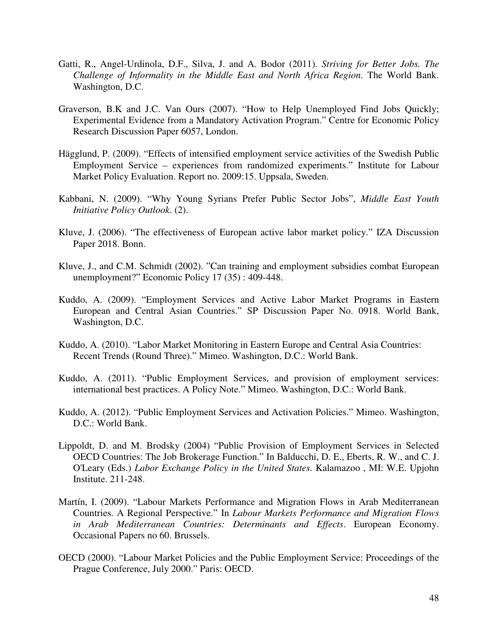- Gatti, R., Angel-Urdinola, D.F., Silva, J. and A. Bodor (2011). *Striving for Better Jobs. The Challenge of Informality in the Middle East and North Africa Region*. The World Bank. Washington, D.C.
- Graverson, B.K and J.C. Van Ours (2007). "How to Help Unemployed Find Jobs Quickly; Experimental Evidence from a Mandatory Activation Program." Centre for Economic Policy Research Discussion Paper 6057, London.
- Hägglund, P. (2009). "Effects of intensified employment service activities of the Swedish Public Employment Service – experiences from randomized experiments." Institute for Labour Market Policy Evaluation. Report no. 2009:15. Uppsala, Sweden.
- Kabbani, N. (2009). "Why Young Syrians Prefer Public Sector Jobs", *Middle East Youth Initiative Policy Outlook*. (2).
- Kluve, J. (2006). "The effectiveness of European active labor market policy." IZA Discussion Paper 2018. Bonn.
- Kluve, J., and C.M. Schmidt (2002). "Can training and employment subsidies combat European unemployment?" Economic Policy 17 (35) : 409-448.
- Kuddo, A. (2009). "Employment Services and Active Labor Market Programs in Eastern European and Central Asian Countries." SP Discussion Paper No. 0918. World Bank, Washington, D.C.
- Kuddo, A. (2010). "Labor Market Monitoring in Eastern Europe and Central Asia Countries: Recent Trends (Round Three)." Mimeo. Washington, D.C.: World Bank.
- Kuddo, A. (2011). "Public Employment Services, and provision of employment services: international best practices. A Policy Note." Mimeo. Washington, D.C.: World Bank.
- Kuddo, A. (2012). "Public Employment Services and Activation Policies." Mimeo. Washington, D.C.: World Bank.
- Lippoldt, D. and M. Brodsky (2004) "Public Provision of Employment Services in Selected OECD Countries: The Job Brokerage Function." In Balducchi, D. E., Eberts, R. W., and C. J. O'Leary (Eds.) *Labor Exchange Policy in the United States.* Kalamazoo , MI: W.E. Upjohn Institute. 211-248.
- Martín, I. (2009). "Labour Markets Performance and Migration Flows in Arab Mediterranean Countries. A Regional Perspective." In *Labour Markets Performance and Migration Flows in Arab Mediterranean Countries: Determinants and Effects*. European Economy. Occasional Papers no 60. Brussels.
- OECD (2000). "Labour Market Policies and the Public Employment Service: Proceedings of the Prague Conference, July 2000." Paris: OECD.